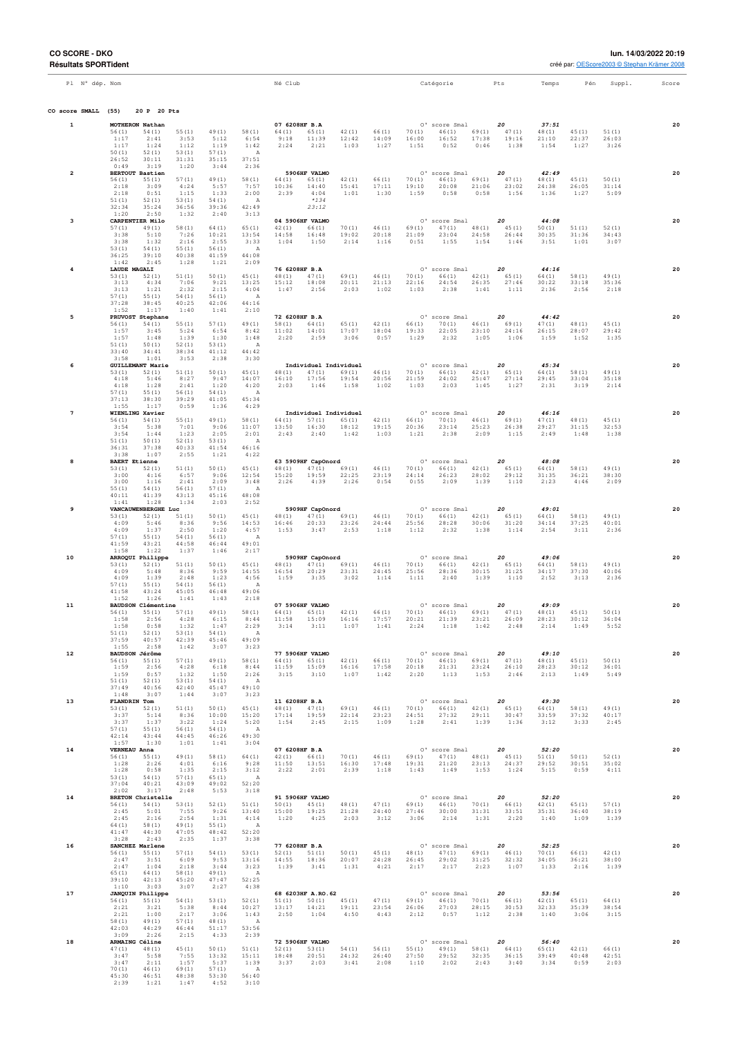| Pl N° dép. Nom          |                                                            |                        |                         |                                 | Né Club                         |                                         |                        |                        |                        | Catégorie                                   |                | Pts                     | Temps                    | Pén                    | Suppl.                 | Score |
|-------------------------|------------------------------------------------------------|------------------------|-------------------------|---------------------------------|---------------------------------|-----------------------------------------|------------------------|------------------------|------------------------|---------------------------------------------|----------------|-------------------------|--------------------------|------------------------|------------------------|-------|
| CO score SMALL          | 20 P 20 Pts<br>(55)                                        |                        |                         |                                 |                                 |                                         |                        |                        |                        |                                             |                |                         |                          |                        |                        |       |
| $\mathbf{1}$            | MOTHERON Nathan<br>56(1)<br>54(1)                          | 55(1)                  | 49(1)                   | 58(1)                           | 07 6208HF B.A<br>64 (1)         | 65(1)                                   | 42(1)                  | 66(1)                  | 70(1)                  | O' score Smal<br>46(1)                      | 69(1)          | 20<br>47(1)             | 37:51<br>48 (1)          | 45(1)                  | 51(1)                  | 20    |
|                         | 1:17<br>2:41<br>1:17<br>1:24                               | 3:53<br>1:12           | 5:12<br>1:19            | 6:54<br>1:42                    | 9:18<br>2:24                    | 11:39<br>2:21                           | 12:42<br>1:03          | 14:09<br>1:27          | 16:00<br>1:51          | 16:52<br>0:52                               | 17:38<br>0:46  | 19:16<br>1:38           | 21:10<br>1:54            | 22:37<br>1:27          | 26:03<br>3:26          |       |
|                         | 50(1)<br>52(1)<br>26:52<br>30:11<br>0:49<br>3:19           | 53(1)<br>31:31<br>1:20 | 57(1)<br>35:15<br>3:44  | $\mathbb{A}$<br>37:51<br>2:36   |                                 |                                         |                        |                        |                        |                                             |                |                         |                          |                        |                        |       |
| $\overline{\mathbf{2}}$ | <b>BERTOUT Bastien</b><br>56(1)<br>55(1)                   | 57(1)                  | 49(1)                   | 58(1)                           | 64 (1)                          | 5906HF VALMO<br>65 (1)                  | 42(1)                  | 66(1)                  | 70(1)                  | O' score Smal<br>46(1)                      | 69(1)          | 20<br>47(1)             | 42:49<br>48 (1)          | 45(1)                  | 50(1)                  | 20    |
|                         | 2:18<br>3:09<br>2:18<br>0:51<br>51(1)<br>52(1)             | 4:24<br>1:15<br>53(1)  | 5:57<br>1:33<br>54(1)   | 7:57<br>2:00<br>$\overline{A}$  | 10:36<br>2:39                   | 14:40<br>4:04<br>$*134$                 | 15:41<br>1:01          | 17:11<br>1:30          | 19:10<br>1:59          | 20:08<br>0:58                               | 21:06<br>0:58  | 23:02<br>1:56           | 24:38<br>1:36            | 26:05<br>1:27          | 31:14<br>5:09          |       |
|                         | 32:34<br>35:24<br>1:20<br>2:50                             | 36:56<br>1:32          | 39:36<br>2:40           | 42:49<br>3:13                   |                                 | 23:12                                   |                        |                        |                        |                                             |                |                         |                          |                        |                        |       |
| 3                       | CARPENTIER Milo<br>57(1)<br>49(1)                          | 58(1)                  | 64 (1)                  | 65 (1)                          | 42(1)                           | 04 5906HF VALMO<br>66(1)                | 70(1)                  | 46(1)                  | 69(1)                  | O' score Smal<br>47(1)                      | 48(1)          | 20<br>45(1)             | 44:08<br>50(1)           | 51(1)                  | 52(1)                  | 20    |
|                         | 3:38<br>5:10<br>3:38<br>1:32<br>53(1)<br>54(1)             | 7:26<br>2:16<br>55(1)  | 10:21<br>2:55<br>56(1)  | 13:54<br>3:33<br>A              | 14:58<br>1:04                   | 16:48<br>1:50                           | 19:02<br>2:14          | 20:18<br>1:16          | 21:09<br>0:51          | 23:04<br>1:55                               | 24:58<br>1:54  | 26:44<br>1:46           | 30:35<br>3:51            | 31:36<br>1:01          | 34:43<br>3:07          |       |
|                         | 36:25<br>39:10<br>1:42<br>2:45                             | 40:38<br>1:28          | 41:59<br>1:21           | 44:08<br>2:09                   |                                 |                                         |                        |                        |                        |                                             |                |                         |                          |                        |                        |       |
| $\overline{4}$          | LAUDE MAGALI<br>53(1)<br>52(1)                             | 51(1)                  | 50(1)                   | 45 (1)                          | 76 6208HF B.A<br>48(1)          | 47(1)                                   | 69(1)                  | 46(1)                  | 70(1)                  | O' score Smal<br>66(1)                      | 42(1)          | 20<br>65 (1)            | 44:16<br>64 (1)          | 58(1)                  | 49(1)                  | 20    |
|                         | 3:13<br>4:34<br>3:13<br>1:21<br>57(1)<br>55(1)             | 7:06<br>2:32<br>54(1)  | 9:21<br>2:15<br>56(1)   | 13:25<br>4:04<br>A              | 15:12<br>1:47                   | 18:08<br>2:56                           | 20:11<br>2:03          | 21:13<br>1:02          | 22:16<br>1:03          | 24:54<br>2:38                               | 26:35<br>1:41  | 27:46<br>1:11           | 30:22<br>2:36            | 33:18<br>2:56          | 35:36<br>2:18          |       |
|                         | 37:28<br>38:45<br>1:52<br>1:17                             | 40:25<br>1:40          | 42:06<br>1:41           | 44:16<br>2:10                   |                                 |                                         |                        |                        |                        |                                             |                |                         |                          |                        |                        |       |
| 5                       | PRUVOST Stephane<br>56(1)<br>54(1)<br>1:57<br>3:45         | 55(1)<br>5:24          | 57(1)<br>6:54           | 49 (1)<br>8:42                  | 72 6208HF B.A<br>58(1)<br>11:02 | 64 (1)<br>14:01                         | 65(1)<br>17:07         | 42(1)<br>18:04         | 66 (1)<br>19:33        | 0' score Smal<br>70(1)<br>22:05             | 46(1)<br>23:10 | 20<br>69 (1)<br>24:16   | 44:42<br>47(1)<br>26:15  | 48(1)<br>28:07         | 45(1)<br>29:42         | 20    |
|                         | 1:57<br>1:48<br>51(1)<br>50(1)                             | 1:39<br>52(1)          | 1:30<br>53(1)           | 1:48<br>A                       | 2:20                            | 2:59                                    | 3:06                   | 0:57                   | 1:29                   | 2:32                                        | 1:05           | 1:06                    | 1:59                     | 1:52                   | 1:35                   |       |
|                         | 33:40<br>34:41<br>3:58<br>1:01                             | 38:34<br>3:53          | 41:12<br>2:38           | 44:42<br>3:30                   |                                 |                                         |                        |                        |                        |                                             |                |                         |                          |                        |                        |       |
| 6                       | <b>GUILLEMANT Marie</b><br>53(1)<br>52(1)<br>4:18<br>5:46  | 51(1)<br>8:27          | 50(1)<br>9:47           | 45(1)<br>14:07                  | 48(1)<br>16:10                  | Individuel Individuel<br>47(1)<br>17:56 | 69(1)<br>19:54         | 46(1)<br>20:56         | 70(1)<br>21:59         | O' score Smal<br>66(1)<br>24:02             | 42(1)<br>25:47 | 20<br>65 (1)<br>27:14   | 45:34<br>64 (1)<br>29:45 | 58(1)<br>33:04         | 49(1)<br>35:18         | 20    |
|                         | 4:18<br>1:28<br>57(1)<br>55(1)                             | 2:41<br>56(1)          | 1:20<br>54(1)           | 4:20<br>$\overline{A}$          | 2:03                            | 1:46                                    | 1:58                   | 1:02                   | 1:03                   | 2:03                                        | 1:45           | 1:27                    | 2:31                     | 3:19                   | 2:14                   |       |
|                         | 37:13<br>38:30<br>1:55<br>1:17                             | 39:29<br>0:59          | 41:05<br>1:36           | 45:34<br>4:29                   |                                 |                                         |                        |                        |                        |                                             |                |                         |                          |                        |                        |       |
| $\overline{7}$          | <b>WIENLING Xavier</b><br>56(1)<br>54(1)<br>3:54<br>5:38   | 55(1)<br>7:01          | 49(1)<br>9:06           | 58(1)<br>11:07                  | 64 (1)<br>13:50                 | Individuel Individuel<br>57(1)<br>16:30 | 65(1)<br>18:12         | 42 (1)<br>19:15        | 66 (1)<br>20:36        | O' score Smal<br>70(1)<br>23:14             | 46(1)<br>25:23 | 20<br>69 (1)<br>26:38   | 46:16<br>47(1)<br>29:27  | 48(1)<br>31:15         | 45(1)<br>32:53         | 20    |
|                         | 3:54<br>1:44<br>51(1)<br>50(1)                             | 1:23<br>52(1)          | 2:05<br>53(1)           | 2:01<br>A                       | 2:43                            | 2:40                                    | 1:42                   | 1:03                   | 1:21                   | 2:38                                        | 2:09           | 1:15                    | 2:49                     | 1:48                   | 1:38                   |       |
| 8                       | 36:31<br>37:38<br>3:38<br>1:07<br><b>BAERT Etienne</b>     | 40:33<br>2:55          | 41:54<br>1:21           | 46:16<br>4:22                   |                                 | 63 5909HF CapOnord                      |                        |                        |                        | O' score Smal                               |                | 20                      | 48:08                    |                        |                        | 20    |
|                         | 53(1)<br>52(1)<br>3:00<br>4:16                             | 51(1)<br>6:57          | 50(1)<br>9:06           | 45(1)<br>12:54                  | 48(1)<br>15:20                  | 47 (1)<br>19:59                         | 69(1)<br>22:25         | 46(1)<br>23:19         | 70(1)<br>24:14         | 66(1)<br>26:23                              | 42(1)<br>28:02 | 65 (1)<br>29:12         | 64 (1)<br>31:35          | 58(1)<br>36:21         | 49(1)<br>38:30         |       |
|                         | 3:00<br>1:16<br>55(1)<br>54(1)                             | 2:41<br>56(1)          | 2:09<br>57(1)           | 3:48<br>A                       | 2:26                            | 4:39                                    | 2:26                   | 0:54                   | 0:55                   | 2:09                                        | 1:39           | 1:10                    | 2:23                     | 4:46                   | 2:09                   |       |
| 9                       | 40:11<br>41:39<br>1:41<br>1:28<br>VANCAUWENBERGHE Luc      | 43:13<br>1:34          | 45:16<br>2:03           | 48:08<br>2:52                   |                                 | 5909HF CapOnord                         |                        |                        |                        | 0' score Smal                               |                | 20                      | 49:01                    |                        |                        | 20    |
|                         | 53(1)<br>52(1)<br>4:09<br>5:46                             | 51(1)<br>8:36          | 50(1)<br>9:56           | 45(1)<br>14:53                  | 48(1)<br>16:46                  | 47(1)<br>20:33                          | 69(1)<br>23:26         | 46(1)<br>24:44         | 70(1)<br>25:56         | 66(1)<br>28:28                              | 42(1)<br>30:06 | 65 (1)<br>31:20         | 64 (1)<br>34:14          | 58(1)<br>37:25         | 49(1)<br>40:01         |       |
|                         | 4:09<br>1:37<br>57(1)<br>55(1)                             | 2:50<br>54(1)          | 1:20<br>56(1)           | 4:57<br>A                       | 1:53                            | 3:47                                    | 2:53                   | 1:18                   | 1:12                   | 2:32                                        | 1:38           | 1:14                    | 2:54                     | 3:11                   | 2:36                   |       |
| 10                      | 41:59<br>43:21<br>1:58<br>1:22<br>ARROQUI Philippe         | 44:58<br>1:37          | 46:44<br>1:46           | 49:01<br>2:17                   |                                 | 5909HF CapOnord                         |                        |                        |                        | O' score Smal                               |                | 20                      | 49:06                    |                        |                        | 20    |
|                         | 53(1)<br>52(1)<br>4:09<br>5:48                             | 51(1)<br>8:36          | 50(1)<br>9:59           | 45(1)<br>14:55                  | 48(1)<br>16:54                  | 47(1)<br>20:29                          | 69(1)<br>23:31         | 46(1)<br>24:45         | 70(1)<br>25:56         | 66(1)<br>28:36                              | 42(1)<br>30:15 | 65(1)<br>31:25          | 64 (1)<br>34:17          | 58(1)<br>37:30         | 49(1)<br>40:06         |       |
|                         | 4:09<br>1:39<br>57(1)<br>55(1)<br>41:58<br>43:24           | 2:48<br>54(1)<br>45:05 | 1:23<br>56(1)<br>46:48  | 4:56<br>$\overline{A}$<br>49:06 | 1:59                            | 3:35                                    | 3:02                   | 1:14                   | 1:11                   | 2:40                                        | 1:39           | 1:10                    | 2:52                     | 3:13                   | 2:36                   |       |
| 11                      | 1:52<br>1:26<br><b>BAUDSON Clémentine</b>                  | 1:41                   | 1:43                    | 2:18                            |                                 | 07 5906HF VALMO                         |                        |                        |                        | 0' score Smal                               |                | 20                      | 49:09                    |                        |                        | 20    |
|                         | 56(1)<br>55(1)<br>1:58<br>2:56                             | 57(1)<br>4:28          | 49(1)<br>6:15           | 58(1)<br>8:44                   | 64 (1)<br>11:58                 | 65(1)<br>15:09                          | 42(1)<br>16:16         | 66(1)<br>17:57         | 70(1)<br>20:21         | 46(1)<br>21:39                              | 69(1)<br>23:21 | 47(1)<br>26:09          | 48(1)<br>28:23           | 45(1)<br>30:12         | 50(1)<br>36:04         |       |
|                         | 1:58<br>0:58<br>51(1)<br>52(1)<br>37:59<br>40:57           | 1:32<br>53(1)<br>42:39 | 1:47<br>54 (1)<br>45:46 | 2:29<br>A<br>49:09              | 3:14                            | 3:11                                    | 1:07                   | 1:41                   | 2:24                   | 1:18                                        | 1:42           | 2:48                    | 2:14                     | 1:49                   | 5:52                   |       |
| 12                      | 1:55<br>2:58<br>BAUDSON Jérôme                             | 1:42                   | 3:07                    | 3:23                            |                                 | 77 5906HF VALMO                         |                        |                        |                        | O' score Smal                               |                | 20                      | 49:10                    |                        |                        | 20    |
|                         | 56(1)<br>55(1)<br>1:59<br>2:56<br>1:59<br>0:57             | 57(1)<br>4:28<br>1:32  | 49(1)<br>6:18<br>1:50   | 58(1)<br>8:44<br>2:26           | 11:59<br>3:15                   | $64(1)$ $65(1)$<br>15:09<br>3:10        | 42(1)<br>16:16<br>1:07 | 66(1)<br>17:58<br>1:42 | 20:18<br>2:20          | $70(1)$ $46(1)$ $69(1)$<br>21:31<br>1:13    | 23:24<br>1:53  | 47(1)<br>26:10<br>2:46  | 48(1)<br>28:23<br>2:13   | 45(1)<br>30:12<br>1:49 | 50(1)<br>36:01<br>5:49 |       |
|                         | 51(1)<br>52(1)<br>37:49<br>40:56                           | 53(1)<br>42:40         | 54(1)<br>45:47          | A<br>49:10                      |                                 |                                         |                        |                        |                        |                                             |                |                         |                          |                        |                        |       |
| 13                      | 3:07<br>1:48<br>FLANDRIN Tom                               | 1:44                   | 3:07                    | 3:23                            | 11 6208HF B.A                   |                                         |                        |                        |                        | O' score Smal                               |                | 20                      | 49:30                    |                        |                        | 20    |
|                         | 53(1)<br>52(1)<br>3:37<br>5:14<br>3:37<br>1:37             | 51(1)<br>8:36<br>3:22  | 50(1)<br>10:00<br>1:24  | 45(1)<br>15:20<br>5:20          | 17:14<br>1:54                   | 48(1) 47(1)<br>19:59<br>2:45            | 69(1)<br>22:14<br>2:15 | 46(1)<br>23:23<br>1:09 | 70(1)<br>24:51<br>1:28 | $66(1)$ $42(1)$<br>27:32<br>2:41            | 29:11<br>1:39  | 65 (1)<br>30:47<br>1:36 | 64(1)<br>33:59<br>3:12   | 58(1)<br>37:32<br>3:33 | 49(1)<br>40:17<br>2:45 |       |
|                         | 57(1)<br>55(1)<br>42:14<br>43:44                           | 56(1)<br>44:45         | 54(1)<br>46:26          | A<br>49:30                      |                                 |                                         |                        |                        |                        |                                             |                |                         |                          |                        |                        |       |
| 14                      | 1:57<br>1:30<br><b>VERNEAU Anna</b><br>56(1)<br>55(1)      | 1:01<br>49(1)          | 1:41<br>58(1)           | 3:04<br>64 (1)                  | 07 6208HF B.A                   | $42(1)$ $66(1)$                         | 70(1)                  | 46(1)                  |                        | 0' score Smal<br>$69(1)$ $47(1)$ $48(1)$    |                | 20<br>45(1)             | 52:20<br>51(1)           | 50(1)                  | 52(1)                  | 20    |
|                         | 1:28<br>2:26<br>0:58<br>1:28                               | 4:01<br>1:35           | 6:16<br>2:15            | 9:28<br>3:12                    | 11:50<br>2:22                   | 13:51<br>$2:01$                         | 16:30<br>2:39          | 17:48<br>1:18          | 19:31<br>1:43          | 21:20<br>1:49                               | 23:13<br>1:53  | 24:37<br>1:24           | 29:52<br>5:15            | 30:51<br>0:59          | 35:02<br>4:11          |       |
|                         | 53(1)<br>54(1)<br>40:21<br>37:04                           | 57(1)<br>43:09         | 65(1)<br>49:02          | A<br>52:20                      |                                 |                                         |                        |                        |                        |                                             |                |                         |                          |                        |                        |       |
| 14                      | 2:02<br>3:17<br><b>BRETON Christelle</b><br>56(1)<br>54(1) | 2:48<br>53(1)          | 5:53<br>52(1)           | 3:18<br>51(1)                   |                                 | 91 5906HF VALMO<br>$50(1)$ $45(1)$      | 48(1)                  | 47(1)                  | 69(1)                  | O' score Smal<br>$46(1)$ 70(1)              |                | 20<br>66(1)             | 52:20<br>42(1)           | 65(1)                  | 57(1)                  | 20    |
|                         | 2:45<br>5:01<br>2:45<br>2:16                               | 7:55<br>2:54           | 9:26<br>1:31            | 13:40<br>4:14                   | 15:00<br>1:20                   | 19:25<br>4:25                           | 21:28<br>2:03          | 24:40<br>3:12          | 27:46<br>3:06          | 30:00<br>2:14                               | 31:31<br>1:31  | 33:51<br>2:20           | 35:31<br>1:40            | 36:40<br>1:09          | 38:19<br>1:39          |       |
|                         | 64 (1)<br>58(1)<br>41:47<br>44:30<br>3:28<br>2:43          | 49(1)<br>47:05<br>2:35 | 55(1)<br>48:42<br>1:37  | A<br>52:20<br>3:38              |                                 |                                         |                        |                        |                        |                                             |                |                         |                          |                        |                        |       |
| 16                      | SANCHEZ Marlene<br>56(1)<br>55(1)                          | 57(1)                  | 54(1)                   | 53(1)                           | 77 6208HF B.A                   | $52(1)$ $51(1)$                         | 50(1)                  | 45(1)                  |                        | 0' score Smal 20<br>48(1) 47(1) 69(1) 46(1) |                |                         | 52:25<br>70(1)           | 66(1)                  | 42(1)                  | 20    |
|                         | 2:47<br>3:51<br>2:47<br>1:04                               | 6:09<br>2:18           | 9:53<br>3:44            | 13:16<br>3:23                   | 14:55<br>1:39                   | 18:36<br>3:41                           | 20:07<br>1:31          | 24:28<br>4:21          | 26:45<br>2:17          | 29:02<br>2:17                               | 31:25<br>2:23  | 32:32<br>1:07           | 34:05<br>1:33            | 36:21<br>2:16          | 38:00<br>1:39          |       |
|                         | 65 (1)<br>64 (1)<br>42:13<br>39:10<br>1:10<br>3:03         | 58(1)<br>45:20<br>3:07 | 49(1)<br>47:47<br>2:27  | A<br>52:25<br>4:38              |                                 |                                         |                        |                        |                        |                                             |                |                         |                          |                        |                        |       |
| 17                      | <b>JANQUIN Philippe</b><br>56(1)<br>55(1)                  | 54(1)                  | 53(1)                   | 52(1)                           | 51(1)                           | 68 6203HF A.RO.62<br>$50(1)$ $45(1)$    |                        | 47(1)                  | 69(1)                  | O' score Smal<br>$46(1)$ $70(1)$            |                | 20<br>66(1)             | 53:56<br>42(1)           | 65(1)                  | 64 (1)                 | 20    |
|                         | 2:21<br>3:21<br>2:21<br>1:00                               | 5:38<br>2:17           | 8:44<br>3:06            | 10:27<br>1:43                   | 13:17<br>2:50                   | 14:21<br>1:04                           | 19:11<br>4:50          | 23:54<br>4:43          | 26:06<br>2:12          | 27:03<br>0:57                               | 28:15<br>1:12  | 30:53<br>2:38           | 32:33<br>1:40            | 35:39<br>3:06          | 38:54<br>3:15          |       |
|                         | 58(1)<br>49(1)<br>42:03<br>44:29<br>3:09<br>2:26           | 57(1)<br>46:44<br>2:15 | 48(1)<br>51:17<br>4:33  | A<br>53:56<br>2:39              |                                 |                                         |                        |                        |                        |                                             |                |                         |                          |                        |                        |       |
| 18                      | <b>ARMAING Céline</b><br>47(1)<br>48(1)                    | 45(1)                  | 50(1)                   | 51(1)                           |                                 | 72 5906HF VALMO<br>$52(1)$ $53(1)$      | 54(1)                  | 56(1)                  |                        | O' score Smal<br>$55(1)$ $49(1)$ $58(1)$    |                | 20<br>64 (1)            | 56:40<br>65(1)           | 42(1)                  | 66(1)                  | 20    |
|                         | 3:47<br>5:58<br>3:47<br>2:11<br>70(1)<br>46(1)             | 7:55<br>1:57<br>69(1)  | 13:32<br>5:37<br>57(1)  | 15:11<br>1:39<br>A              | 18:48                           | 20:51<br>$3:37$ 2:03                    | 24:32<br>3:41          | 26:40<br>2:08          | 27:50<br>1:10          | 29:52<br>2:02                               | 32:35<br>2:43  | 36:15<br>3:40           | 39:49<br>3:34            | 40:48<br>0:59          | 42:51<br>2:03          |       |
|                         | 45:30<br>46:51<br>2:39<br>1:21                             | 48:38<br>1:47          | 53:30<br>4:52           | 56:40<br>3:10                   |                                 |                                         |                        |                        |                        |                                             |                |                         |                          |                        |                        |       |

**CO SCORE - DKO lun. 14/03/2022 20:19**

créé par: OEScore2003 <sup>©</sup> Stephan Krämer 2008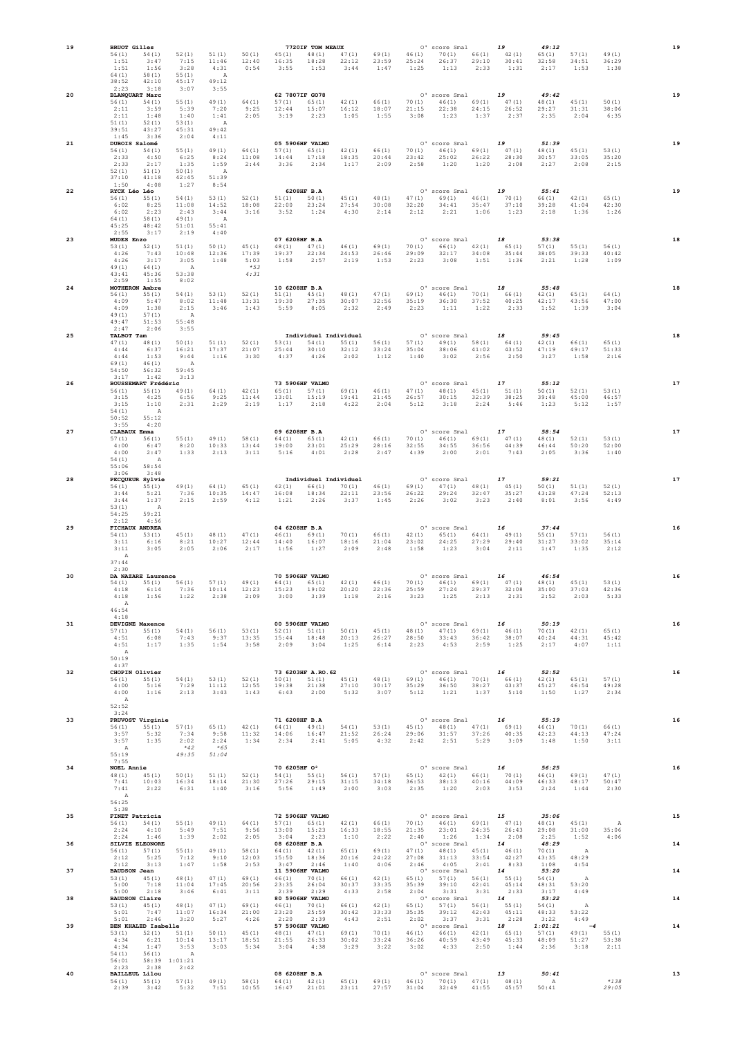| 19       | <b>BRUOT Gilles</b>                                                                                                                    |                                                           |                                              |                                          |                                                | 7720IF TOM MEAUX                                                                                                                    |                                                  |                                          |                         | O' score Smal                                                                                                                                                                                                                                                          |                         | 19                                 | 49:12                                                             |                                      |                              | 19       |
|----------|----------------------------------------------------------------------------------------------------------------------------------------|-----------------------------------------------------------|----------------------------------------------|------------------------------------------|------------------------------------------------|-------------------------------------------------------------------------------------------------------------------------------------|--------------------------------------------------|------------------------------------------|-------------------------|------------------------------------------------------------------------------------------------------------------------------------------------------------------------------------------------------------------------------------------------------------------------|-------------------------|------------------------------------|-------------------------------------------------------------------|--------------------------------------|------------------------------|----------|
|          | 56(1)<br>54(1)<br>3:47<br>1:51<br>1:51<br>1:56<br>64 (1)<br>58(1)<br>42:10<br>38:52<br>2:23<br>3:18                                    | 52(1)<br>7:15<br>3:28<br>55(1)<br>45:17<br>3:07           | 51(1)<br>11:46<br>4:31<br>A<br>49:12<br>3:55 | 50(1)<br>12:40<br>0:54                   | 16:35<br>3:55                                  | 45(1) 48(1)<br>18:28<br>1:53                                                                                                        | 47(1)<br>22:12<br>3:44                           | 69(1)<br>23:59<br>1:47                   | 46(1)<br>25:24<br>1:25  | 70(1)<br>26:37<br>1:13                                                                                                                                                                                                                                                 | 66(1)<br>29:10<br>2:33  | 42(1)<br>30:41<br>1:31             | 65(1)<br>32:58<br>2:17                                            | 57(1)<br>34:51<br>1:53               | 49 (1)<br>36:29<br>1:38      |          |
| 20       | <b>BLANQUART Marc</b><br>56(1)<br>54 (1)<br>2:11<br>3:59<br>2:11<br>1:48<br>51(1)<br>52(1)<br>39:51<br>43:27                           | 55(1)<br>5:39<br>1:40<br>53(1)<br>45:31                   | 49(1)<br>7:20<br>1:41<br>A<br>49:42          | 64 (1)<br>9:25<br>2:05                   | 62 7807IF GO78<br>57(1)<br>12:44<br>3:19       | 65 (1)<br>15:07<br>2:23                                                                                                             | 42(1)<br>16:12<br>1:05                           | 66(1)<br>18:07<br>1:55                   | 70(1)<br>21:15<br>3:08  | O' score Smal<br>46(1)<br>22:38<br>1:23                                                                                                                                                                                                                                | 69(1)<br>24:15<br>1:37  | 19<br>47(1)<br>26:52<br>2:37       | 49:42<br>48(1)<br>29:27<br>2:35                                   | 45(1)<br>31:31<br>2:04               | 50(1)<br>38:06<br>6:35       | 19       |
| 21       | 1:45<br>3:36<br>DUBOIS Salomé<br>56(1)<br>54 (1)<br>4:50<br>2:33<br>2:33<br>2:17<br>52(1)<br>51(1)<br>37:10<br>41:18                   | 2:04<br>55(1)<br>6:25<br>1:35<br>50(1)<br>42:45           | 4:11<br>49(1)<br>8:24<br>1:59<br>A<br>51:39  | 64 (1)<br>11:08<br>2:44                  | 57(1)<br>14:44<br>3:36                         | 05 5906HF VALMO<br>65(1)<br>17:18<br>2:34                                                                                           | 42(1)<br>18:35<br>1:17                           | 66(1)<br>20:44<br>2:09                   | 70 (1)<br>23:42<br>2:58 | O' score Smal<br>46(1)<br>25:02<br>1:20                                                                                                                                                                                                                                | 26:22<br>1:20           | 19<br>69(1) 47(1)<br>28:30<br>2:08 | 51:39<br>48(1)<br>30:57<br>2:27                                   | 45 (1)<br>33:05<br>2:08              | 53(1)<br>35:20<br>2:15       | 19       |
| 22       | 1:50<br>4:08<br>RYCK Léo Léo<br>$56(1)$ $55(1)$<br>6:02<br>8:25<br>6:02<br>2:23<br>64 (1)<br>58(1)<br>45:25<br>48:42                   | 1:27<br>54(1)<br>11:08<br>2:43<br>49(1)                   | 8:54<br>53(1)<br>14:52<br>3:44<br>A<br>55:41 | 52(1)<br>18:08<br>3:16                   | 51(1)<br>22:00<br>3:52                         | 6208HF B.A<br>50(1)<br>23:24<br>1:24                                                                                                | 45(1)<br>27:54<br>4:30                           | 48(1)<br>30:08<br>2:14                   | 47(1)<br>32:20<br>2:12  | O' score Smal<br>69(1)<br>34:41<br>2:21                                                                                                                                                                                                                                | 46(1)<br>35:47<br>1:06  | 19<br>70 (1)<br>37:10<br>1:23      | 55:41<br>66(1)<br>39:28<br>2:18                                   | 42(1)<br>41:04<br>1:36               | 65 (1)<br>42:30<br>1:26      | 19       |
| 23       | 2:55<br>3:17<br>MUDES Enzo<br>53(1)<br>52(1)<br>7:43<br>4:26<br>4:26<br>3:17<br>49(1)<br>64 (1)                                        | 51:01<br>2:19<br>51(1)<br>10:48<br>3:05<br>A              | 4:40<br>50(1)<br>12:36<br>1:48               | 45(1)<br>17:39<br>5:03<br>$*53$          | 07 6208HF B.A<br>48(1)<br>19:37<br>1:58        | 47(1)<br>22:34<br>2:57                                                                                                              | 46(1)<br>24:53<br>2:19                           | 69(1)<br>26:46<br>1:53                   | 70(1)<br>29:09<br>2:23  | O' score Smal<br>66(1)<br>32:17<br>3:08                                                                                                                                                                                                                                | 42(1)<br>34:08<br>1:51  | 18<br>65 (1)<br>35:44<br>1:36      | 53:38<br>57(1)<br>38:05<br>2:21                                   | 55(1)<br>39:33<br>1:28               | 56(1)<br>40:42<br>1:09       | 18       |
| 24       | 43:41<br>45:36<br>2:59<br>1:55<br>MOTHERON Ambre<br>56(1)<br>55(1)<br>4:09<br>5:47<br>4:09<br>1:38<br>49(1)<br>57(1)<br>49:47<br>51:53 | 53:38<br>8:02<br>54(1)<br>8:02<br>2:15<br>A<br>55:48      | 53(1)<br>11:48<br>3:46                       | 4:31<br>52(1)<br>13:31<br>1:43           | 10 6208HF B.A<br>51(1)<br>19:30<br>5:59        | 45(1)<br>27:35<br>8:05                                                                                                              | 48(1)<br>30:07<br>2:32                           | 47(1)<br>32:56<br>2:49                   | 69 (1)<br>35:19<br>2:23 | O' score Smal<br>46(1)<br>36:30<br>1:11                                                                                                                                                                                                                                | 70(1)<br>37:52<br>1:22  | 18<br>66 (1)<br>40:25<br>2:33      | 55:48<br>42(1)<br>42:17<br>1:52                                   | 65(1)<br>43:56<br>1:39               | 64 (1)<br>47:00<br>3:04      | 18       |
| 25       | 2:47<br>2:06<br>TALBOT Tam<br>47(1)<br>48 (1)<br>6:37<br>4:44<br>4:44<br>1:53<br>69(1)<br>46(1)<br>54:50<br>56:32                      | 3:55<br>50(1)<br>16:21<br>9:44<br>$\overline{A}$<br>59:45 | 51(1)<br>17:37<br>1:16                       | 52(1)<br>21:07<br>3:30                   | 53(1)<br>25:44<br>4:37                         | Individuel Individuel<br>54 (1)<br>30:10<br>4:26                                                                                    | 55(1)<br>32:12<br>2:02                           | 56(1)<br>33:24<br>1:12                   | 57(1)<br>35:04<br>1:40  | O' score Smal<br>49(1) 58(1)<br>38:06<br>3:02                                                                                                                                                                                                                          | 41:02<br>2:56           | 18<br>64 (1)<br>43:52<br>2:50      | 59:45<br>42(1)<br>47:19<br>3:27                                   | 66(1)<br>49:17<br>1:58               | 65 (1)<br>51:33<br>2:16      | 18       |
| 26       | 1:42<br>3:17<br>BOUSSEMART Frédéric<br>56(1) 55(1)<br>3:15<br>4:25<br>3:15<br>1:10<br>54(1)<br>A<br>55:12<br>50:52                     | 3:13<br>49(1)<br>6:56<br>2:31                             | 64 (1)<br>9:25<br>2:29                       | 42(1)<br>11:44<br>2:19                   | 13:01<br>1:17                                  | 73 5906HF VALMO<br>65(1) 57(1)<br>15:19<br>2:18                                                                                     | 69(1)<br>19:41<br>4:22                           | 46(1)<br>21:45<br>2:04                   | 47(1)<br>26:57<br>5:12  | O' score Smal<br>48(1)<br>30:15<br>3:18                                                                                                                                                                                                                                | 45(1)<br>32:39<br>2:24  | 17<br>51(1)<br>38:25<br>5:46       | 55:12<br>50(1)<br>39:48<br>1:23                                   | 52(1)<br>45:00<br>5:12               | 53(1)<br>46:57<br>1:57       | 17       |
| 27       | 3:55<br>4:20<br>CLABAUX Emma<br>57(1)<br>56(1)<br>4:00<br>6:47<br>4:00<br>2:47<br>54(1)<br>$\overline{A}$<br>55:06<br>58:54            | 55(1)<br>8:20<br>1:33                                     | 49(1)<br>10:33<br>2:13                       | 58(1)<br>13:44<br>3:11                   | 09 6208HF B.A<br>64 (1)<br>19:00<br>5:16       | 65(1)<br>23:01<br>4:01                                                                                                              | 42(1)<br>25:29<br>2:28                           | 66(1)<br>28:16<br>2:47                   | 70(1)<br>32:55<br>4:39  | O' score Smal<br>46(1)<br>34:55<br>2:00                                                                                                                                                                                                                                | 69(1)<br>36:56<br>2:01  | 17<br>47(1)<br>44:39<br>7:43       | 58:54<br>48 (1)<br>46:44<br>2:05                                  | 52(1)<br>50:20<br>3:36               | 53(1)<br>52:00<br>1:40       | 17       |
| 28       | 3:06<br>3:48<br>PECQUEUR Sylvie<br>56(1)<br>55(1)<br>5:21<br>3:44<br>3:44<br>1:37<br>53(1)<br>A<br>59:21<br>54:25                      | 49(1)<br>7:36<br>2:15                                     | 64 (1)<br>10:35<br>2:59                      | 65(1)<br>14:47<br>4:12                   | 42(1)<br>16:08<br>1:21                         | Individuel Individuel<br>66(1)<br>18:34<br>2:26                                                                                     | 70(1)<br>22:11<br>3:37                           | 46(1)<br>23:56<br>1:45                   | 69 (1)<br>26:22<br>2:26 | O' score Smal<br>47(1)<br>29:24<br>3:02                                                                                                                                                                                                                                | 48(1)<br>32:47<br>3:23  | 17<br>45(1)<br>35:27<br>2:40       | 59:21<br>50(1)<br>43:28<br>8:01                                   | 51(1)<br>47:24<br>3:56               | 52(1)<br>52:13<br>4:49       | 17       |
| 29       | 4:56<br>2:12<br>FICHAUX ANDREA<br>54(1)<br>53(1)<br>3:11<br>6:16<br>3:11<br>3:05<br>A                                                  | 45(1)<br>8:21<br>2:05                                     | 48 (1)<br>10:27<br>2:06                      | 47(1)<br>12:44<br>2:17                   | 04 6208HF B.A<br>46(1)<br>14:40<br>1:56        | 69(1)<br>16:07<br>1:27                                                                                                              | 70(1)<br>18:16<br>2:09                           | 66(1)<br>21:04<br>2:48                   | 42(1)<br>23:02<br>1:58  | O' score Smal<br>65(1)<br>24:25<br>1:23                                                                                                                                                                                                                                | 64 (1)<br>27:29<br>3:04 | 16<br>49(1)<br>29:40<br>2:11       | 37:44<br>55(1)<br>31:27<br>1:47                                   | 57(1)<br>33:02<br>1:35               | 56(1)<br>35:14<br>2:12       | 16       |
| 30       | 37:44<br>2:30<br>DA NAZARE Laurence<br>$54(1)$ $55(1)$ $56(1)$<br>4:18<br>4:18<br>1:56<br>A<br>46:54                                   | 6:14 7:36<br>1:22                                         | 57(1)<br>10:14<br>2:38                       | 49 (1)<br>12:23<br>2:09                  | 3:00                                           | 70 5906HF VALMO<br>$64(1)$ $65(1)$<br>15:23  19:02  20:20<br>3:39                                                                   | 42(1)<br>1:18                                    | 66(1)<br>22:36<br>2:16                   | 3:23                    | O' score Smal<br>$70(1)$ $46(1)$ $69(1)$ $47(1)$<br>25:59 27:24 29:37 32:08<br>1:25                                                                                                                                                                                    | 2:13                    | 16<br>2:31                         | 46:54<br>48(1)<br>35:00<br>2:52                                   | 45(1)<br>37:03<br>2:03               | 53(1)<br>42:36<br>5:33       | 16       |
| 31       | 4:18<br><b>DEVIGNE Maxence</b><br>$57(1)$ $55(1)$<br>6:08<br>4:51<br>4:51<br>1:17<br>A<br>50:19                                        | 54(1)<br>7:43<br>1:35                                     | 56(1)<br>9:37<br>1:54                        | 53(1)<br>13:35<br>3:58                   | $52(1)$ $51(1)$ $50(1)$<br>15:44 18:48<br>2:09 | 00 5906HF VALMO<br>3:04                                                                                                             | 20:13<br>1:25                                    | 45(1)<br>26:27<br>6:14                   | 2:23                    | O' score Smal<br>$48(1)$ $47(1)$ $69(1)$ $46(1)$<br>28:50 33:43 36:42 38:07<br>4:53                                                                                                                                                                                    | 2:59                    | 16<br>1:25                         | 50:19<br>70(1)<br>40:24<br>2:17                                   | 42(1)<br>44:31<br>4:07               | 65(1)<br>45:42<br>1:11       | 16       |
| 32       | 4:37<br>CHOPIN Olivier<br>$56(1)$ $55(1)$<br>4:00<br>4:00<br>1:16<br>A<br>52:52                                                        | 54(1)<br>5:16 7:29<br>2:13                                | 53(1)<br>11:12<br>3:43                       | 52(1)<br>12:55<br>1:43                   | 19:38                                          | 73 6203HF A.RO.62<br>21:38<br>6:43 2:00                                                                                             | $50(1)$ $51(1)$ $45(1)$ $48(1)$<br>27:10<br>5:32 | 30:17<br>3:07                            | 35:29<br>5:12           | O' score Smal<br>69(1) 46(1) 70(1) 66(1)<br>36:50<br>1:21                                                                                                                                                                                                              | 38:27<br>1:37           | 16<br>43:37<br>5:10                | 52:52<br>42(1)<br>45:27<br>1:50                                   | 65(1)<br>46:54<br>1:27               | 57(1)<br>49:28<br>2:34       | 16       |
| 33       | 3:24<br>PRUVOST Virginie<br>$56(1)$ $55(1)$ $57(1)$ $65(1)$<br>$3:57$ $5:32$<br>$3:57$ $1:35$ $2:02$<br>A<br>55:19                     | 7:34 9:58<br>$*42$<br>49:35                               | 2:24<br>$*65$<br>51:04                       | 42 (1)<br>11:32<br>1:34                  | 71 6208HF B.A<br>14:06 16:47                   | $64(1)$ $49(1)$<br>$2:34$ $2:41$                                                                                                    | 54(1)<br>21:52<br>5:05                           | 53(1)<br>26:24<br>4:32                   | 2:42                    | O' score Smal<br>$45(1)$ $48(1)$ $47(1)$ $69(1)$<br>29:06 31:57 37:26 40:35<br>2:51 5:29 3:09                                                                                                                                                                          |                         | 16                                 | 55:19<br>46(1)<br>42:23<br>1:48                                   | 70(1)<br>44:13<br>1:50               | 66(1)<br>47:24<br>3:11       | 16       |
| 34       | 7:55<br><b>NOEL Annie</b><br>48(1) 45(1) 50(1)<br>10:03<br>7:41<br>$7:41$ $2:22$<br>A<br>56:25                                         | 16:34<br>6:31                                             | 51(1)<br>18:14<br>1:40                       | 52(1)<br>21:30<br>3:16                   | 70 6205HF 02<br>54(1) 55(1)<br>$5:56$ $1:49$   |                                                                                                                                     | 56(1)<br>27:26 29:15 31:15<br>2:00               | 57(1)<br>34:18<br>3:03                   | 36:53<br>2:35           | O' score Smal<br>65(1) 42(1) 66(1) 70(1)<br>$1:20$ $2:03$ $3:53$                                                                                                                                                                                                       |                         | 16<br>38:13  40:16  44:09          | 56:25<br>46(1)<br>46:33<br>2:24                                   | 69(1)<br>48:17<br>1:44               | 47(1)<br>50:47<br>2:30       | 16       |
| 35<br>36 | 5:38<br>FINET Patricia<br>$56(1)$ $54(1)$<br>2:24 4:10<br>1:46<br>2:24<br>SILVIE ELEONORE                                              | 55(1)<br>5:49<br>1:39                                     | 49(1)<br>7:51<br>2:02                        | 64 (1)<br>9:56<br>2:05                   |                                                | 72 5906HF VALMO<br>$57(1)$ $65(1)$ $42(1)$<br>$3:04$ $2:23$<br>08 6208HF B.A                                                        | 13:00 15:23 16:33 18:55<br>1:10                  | 2:22                                     |                         | 0' score Smal 15<br>66(1) 70(1) 46(1) 69(1) 47(1) 48(1)<br>21:35  23:01  24:35  26:43<br>2:40 1:26 1:34 2:08<br>0' score Smal 14                                                                                                                                       |                         |                                    | 35:06<br>29:08<br>2:25<br>48:29                                   | 45(1)<br>31:00<br>1:52               | $\mathbb A$<br>35:06<br>4:06 | 15<br>14 |
| 37       | $56(1)$ $57(1)$<br>5:25<br>2:12<br>$2:12$ $3:13$<br><b>BAUDSON Jean</b><br>$53(1)$ $45(1)$<br>5:00<br>7:18                             | 55(1)<br>7:12<br>1:47<br>48(1)<br>11:04                   | 49(1)<br>9:10<br>1:58<br>47(1)<br>17:45      | 58(1)<br>12:03<br>2:53<br>69(1)<br>20:56 | 64(1) 42(1)<br>15:50                           | 18:36<br>$3:47$ 2:46<br>11 5906HF VALMO<br>46(1) 70(1)<br>$\begin{array}{ccc} 23:35 & \quad 26:04 \\ 2:39 & \quad 2:29 \end{array}$ | 65(1)<br>20:16<br>1:40<br>66(1)<br>30:37         | 69(1)<br>24:22<br>4:06<br>42(1)<br>33:35 |                         | $\begin{array}{cccc} 47 \, (1) & \quad & 48 \, (1) & \quad & 45 \, (1) & \quad & 46 \, (1) \\ 27 \, :08 & \quad & 31 \, :13 & \quad & 33 \, :54 & \quad & 42 \, :27 \end{array}$<br>$2:46$ $4:05$ $2:41$ $8:33$<br>0' score Smal 14<br>$65(1)$ $57(1)$ $56(1)$ $55(1)$ |                         |                                    | 70(1)<br>43:35<br>$1:08$ $4:54$<br>53:20<br>54 (1)<br>48:31 53:20 | $\Delta$<br>48:29<br>$\mathbb{A}$    |                              | 14       |
| 38       | 5:00<br>2:18<br><b>BAUDSON Claire</b><br>53(1)<br>45(1)<br>5:01<br>7:47<br>5:01<br>2:46                                                | 3:46<br>48(1)<br>11:07<br>3:20                            | 6:41<br>47(1)<br>16:34<br>5:27               | 3:11<br>69(1)<br>21:00<br>4:26           | 23:20<br>2:20                                  | 80 5906HF VALMO<br>46(1) 70(1)<br>25:59<br>2:39                                                                                     | 4:33<br>66(1)<br>30:42<br>4:43                   | 2:58<br>42(1)<br>33:33<br>2:51           |                         | 35:39 39:10 42:41 45:14<br>2:04 3:31 3:31 2:33<br>0' score Smal 14<br>$65(1)$ $57(1)$ $56(1)$ $55(1)$<br>35:35 39:12 42:43 45:11<br>2:02 3:37 3:31 2:28                                                                                                                |                         |                                    | 3:17<br>53:22<br>54(1)<br>48:33<br>3:22                           | 4:49<br>$\mathbb A$<br>53:22<br>4:49 |                              | 14       |
| 39       | BEN KHALED Isabelle<br>$53(1)$ $52(1)$ $51(1)$<br>4:34<br>6:21<br>4:34<br>1:47<br>54(1)<br>56(1)<br>56:01  58:39  1:01:21              | 10:14<br>3:53<br>A                                        | 50(1)<br>13:17<br>3:03                       | 45(1)<br>18:51<br>5:34                   |                                                | 57 5906HF VALMO<br>$48(1)$ $47(1)$ $69(1)$<br>$\begin{array}{rr} 21:55 & \quad 26:33 \\ 3:04 & \quad 4:38 \end{array}$              | 30:02<br>3:29                                    | 70(1)<br>33:24<br>3:22                   |                         | 0' score Smal 18<br>$46(1)$ $66(1)$ $42(1)$ $65(1)$<br>$\begin{array}{cccc} 36:26 & \phantom{00} & 40:59 & \phantom{0} & 43:49 & \phantom{0} & 45:33 \\ 3:02 & \phantom{0} & 4:33 & \phantom{0} & 2:50 & \phantom{0} & 1:44 \end{array}$                               |                         |                                    | 1:01:21<br>57(1)<br>48:09<br>2:36                                 | $-4$<br>49(1) 55(1)<br>51:27<br>3:18 | 53:38<br>2:11                | 14       |
| 40       | 2:23 2:38 2:42<br><b>BAILLEUL Lilou</b><br>$56(1)$ $55(1)$ $57(1)$<br>2:39                                                             | $3:42$ $5:32$                                             | 49(1)<br>7:51                                | 58(1)<br>10:55                           | 08 6208HF B.A                                  | 64(1) 42(1)                                                                                                                         | 65(1)<br>16:47 21:01 23:11 27:57                 | 69(1)                                    | 31:04                   | O' score Smal<br>$4\,6\,\left(1\right)\qquad \ 7\,0\,\left(1\right)\qquad \ 4\,7\,\left(1\right)\qquad \ 4\,8\,\left(1\right)$                                                                                                                                         |                         | 13<br>32:49  41:55  45:57          | 50:41<br>A<br>50:41                                               |                                      | $*7.38$<br>29:05             | 13       |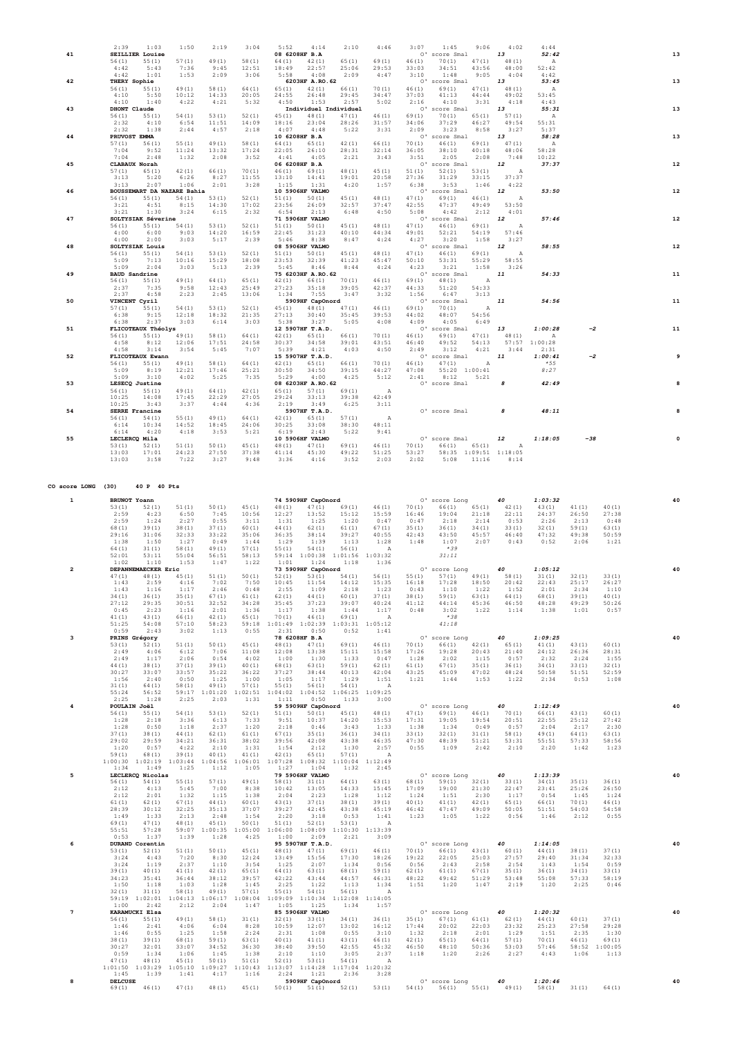|    | 2:39                 | 1:03                   | 1:50                       | 2:19   | 3:04   | 5:52          | 4:14                           | 2:10  | 4:46         | 3:07    | 1:45                | 9:06          | 4:02            | 4:44         |       |    |
|----|----------------------|------------------------|----------------------------|--------|--------|---------------|--------------------------------|-------|--------------|---------|---------------------|---------------|-----------------|--------------|-------|----|
| 41 |                      | <b>SEILLIER Louise</b> |                            |        |        | 08 6208HF B.A |                                |       |              | $\circ$ | score Smal          |               | 13              | 52:42        |       | 13 |
|    | 56(1)                | 55(1)                  | 57(1)                      | 49(1)  | 58(1)  | 64 (1)        | 42(1)                          | 65(1) | 69(1)        | 46(1)   | 70(1)               | 47(1)         | 48(1)           | $\, {\tt A}$ |       |    |
|    | 4:42                 | 5:43                   | 7:36                       | 9:45   | 12:51  | 18:49         | 22:57                          | 25:06 | 29:53        | 33:03   | 34:51               | 43:56         | 48:00           | 52:42        |       |    |
|    | 4:42                 | 1:01                   | 1:53                       | 2:09   | 3:06   | 5:58          | 4:08                           | 2:09  | 4:47         | 3:10    | 1:48                | 9:05          | 4:04            | 4:42         |       |    |
| 42 | THERY Sophie         |                        |                            |        |        |               | 6203HF A.RO. 62                |       |              |         | O' score Smal       |               | 13              | 53:45        |       | 13 |
|    | 56(1)                | 55(1)                  | 49(1)                      | 58(1)  | 64 (1) | 65(1)         | 42(1)                          | 66(1) | 70(1)        | 46(1)   | 69(1)               | 47(1)         | 48 (1)          | Α            |       |    |
|    | 4:10                 | 5:50                   | 10:12                      | 14:33  | 20:05  | 24:55         | 26:48                          | 29:45 | 34:47        | 37:03   | 41:13               | 44:44         | 49:02           | 53:45        |       |    |
|    | 4:10                 | 1:40                   |                            |        |        | 4:50          | 1:53                           | 2:57  | 5:02         | 2:16    | 4:10                | 3:31          | 4:18            | 4:43         |       |    |
|    |                      |                        | 4:22                       | 4:21   | 5:32   |               |                                |       |              |         |                     |               |                 |              |       | 13 |
| 43 | DHONT Claude         |                        | 54(1)                      | 53(1)  | 52(1)  | 45(1)         | Individuel Individuel<br>48(1) |       |              | 0'      | score Smal<br>70(1) | 65(1)         | 13              | 55:31        |       |    |
|    | 56(1)                | 55(1)                  |                            |        |        |               |                                | 47(1) | 46(1)        | 69(1)   |                     |               | 57(1)           | Α            |       |    |
|    | 2:32                 | 4:10                   | 6:54                       | 11:51  | 14:09  | 18:16         | 23:04                          | 28:26 | 31:57        | 34:06   | 37:29               | 46:27         | 49:54           | 55:31        |       |    |
|    | 2:32                 | 1:38                   | 2:44                       | 4:57   | 2:18   | 4:07          | 4:48                           | 5:22  | 3:31         | 2:09    | 3:23                | 8:58          | 3:27            | 5:37         |       |    |
| 44 | PRUVOST EMMA         |                        |                            |        |        | 10 6208HF B.A |                                |       |              |         | 0' score Smal       |               | 13              | 58:28        |       | 13 |
|    | 57(1)                | 56(1)                  | 55(1)                      | 49(1)  | 58(1)  | 64 (1)        | 65(1)                          | 42(1) | 66(1)        | 70(1)   | 46(1)               | 69(1)         | 47(1)           | Α            |       |    |
|    | 7:04                 | 9:52                   | 11:24                      | 13:32  | 17:24  | 22:05         | 26:10                          | 28:31 | 32:14        | 36:05   | 38:10               | 40:18         | 48:06           | 58:28        |       |    |
|    | 7:04                 | 2:48                   | 1:32                       | 2:08   | 3:52   | 4:41          | 4:05                           | 2:21  | 3:43         | 3:51    | 2:05                | 2:08          | 7:48            | 10:22        |       |    |
| 45 | CLABAUX Norah        |                        |                            |        |        | 06 6208HF B.A |                                |       |              |         | 0' score Smal       |               | 12              | 37:37        |       | 12 |
|    | 57(1)                | 65(1)                  | 42(1)                      | 66(1)  | 70(1)  | 46(1)         | 69(1)                          | 48(1) | 45(1)        | 51(1)   | 52(1)               | 53(1)         | $\,$ A          |              |       |    |
|    | 3:13                 | 5:20                   | 6:26                       | 8:27   | 11:55  | 13:10         | 14:41                          | 19:01 | 20:58        | 27:36   | 31:29               | 33:15         | 37:37           |              |       |    |
|    | 3:13                 | 2:07                   | 1:06                       | 2:01   | 3:28   | 1:15          | 1:31                           | 4:20  | 1:57         | 6:38    | 3:53                | 1:46          | 4:22            |              |       |    |
| 46 |                      |                        | BOUSSEMART DA NAZARE Bahia |        |        |               | 10 5906HF VALMO                |       |              |         | 0' score Smal       |               | 12              | 53:50        |       | 12 |
|    | 56(1)                | 55(1)                  | 54(1)                      | 53(1)  | 52(1)  | 51(1)         | 50(1)                          | 45(1) | 48(1)        | 47(1)   | 69(1)               | 46(1)         | $\,$ A          |              |       |    |
|    | 3:21                 | 4:51                   | 8:15                       | 14:30  | 17:02  | 23:56         | 26:09                          | 32:57 | 37:47        | 42:55   | 47:37               | 49:49         | 53:50           |              |       |    |
|    | 3:21                 | 1:30                   | 3:24                       | 6:15   | 2:32   | 6:54          | 2:13                           | 6:48  | 4:50         | 5:08    | 4:42                | 2:12          | 4:01            |              |       |    |
| 47 |                      | SOLTYSIAK Séverine     |                            |        |        |               | 71 5906HF VALMO                |       |              |         | 0' score Smal       |               | 12              | 57:46        |       | 12 |
|    | 56(1)                | 55(1)                  | 54(1)                      | 53(1)  | 52(1)  | 51(1)         | 50(1)                          | 45(1) | 48(1)        | 47(1)   | 46(1)               | 69(1)         | $\,$ A          |              |       |    |
|    | 4:00                 | 6:00                   | 9:03                       | 14:20  | 16:59  | 22:45         | 31:23                          | 40:10 | 44:34        | 49:01   | 52:21               | 54:19         | 57:46           |              |       |    |
|    | 4:00                 | 2:00                   | 3:03                       | 5:17   | 2:39   | 5:46          | 8:38                           | 8:47  | 4:24         | 4:27    | 3:20                | 1:58          | 3:27            |              |       |    |
| 48 |                      | SOLTYSIAK Louis        |                            |        |        |               | 08 5906HF VALMO                |       |              |         | O' score Smal       |               | 12              | 58:55        |       | 12 |
|    | 56(1)                | 55(1)                  | 54(1)                      | 53(1)  | 52(1)  | 51(1)         | 50(1)                          | 45(1) | 48(1)        | 47(1)   | 46(1)               | 69(1)         | Α               |              |       |    |
|    | 5:09                 | 7:13                   | 10:16                      | 15:29  | 18:08  | 23:53         | 32:39                          | 41:23 | 45:47        | 50:10   | 53:31               | 55:29         | 58:55           |              |       |    |
|    | 5:09                 | 2:04                   | 3:03                       | 5:13   | 2:39   | 5:45          | 8:46                           | 8:44  | 4:24         | 4:23    | 3:21                | 1:58          | 3:26            |              |       |    |
| 49 | <b>BAUD</b> Sandrine |                        |                            |        |        |               | 75 6203HF A.RO. 62             |       |              |         | 0' score Smal       |               | 11              | 54:33        |       | 11 |
|    | 56(1)                | 55(1)                  | 49(1)                      | 64(1)  | 65(1)  | 42(1)         | 66(1)                          | 70(1) | 46(1)        | 69(1)   | 48(1)               | Α             |                 |              |       |    |
|    | 2:37                 | 7:35                   | 9:58                       | 12:43  | 25:49  | 27:23         | 35:18                          | 39:05 | 42:37        | 44:33   | 51:20               | 54:33         |                 |              |       |    |
|    | 2:37                 | 4:58                   | 2:23                       | 2:45   | 13:06  | 1:34          | 7:55                           | 3:47  | 3:32         | 1:56    | 6:47                | 3:13          |                 |              |       |    |
| 50 | VINCENT Cyril        |                        |                            |        |        |               | 5909HF CapOnord                |       |              |         | O' score Smal       |               | 11              | 54:56        |       | 11 |
|    | 57(1)                | 55(1)                  | 54(1)                      | 53(1)  | 52(1)  | 45 (1)        | 48 (1)                         | 47(1) | 46(1)        | 69(1)   | 70(1)               | Α             |                 |              |       |    |
|    | 6:38                 | 9:15                   | 12:18                      | 18:32  | 21:35  | 27:13         | 30:40                          | 35:45 | 39:53        | 44:02   | 48:07               | 54:56         |                 |              |       |    |
|    | 6:38                 | 2:37                   | 3:03                       | 6:14   | 3:03   | 5:38          | 3:27                           | 5:05  | 4:08         | 4:09    | 4:05                | 6:49          |                 |              |       |    |
| 51 |                      | FLICOTEAUX Théolys     |                            |        |        |               | 12 5907HF T.A.D.               |       |              |         | 0' score Smal       |               | 13              | 1:00:28      | $-2$  | 11 |
|    | 56(1)                | 55(1)                  | 49(1)                      | 58(1)  | 64 (1) | 42(1)         | 65(1)                          | 66(1) | 70(1)        | 46(1)   | 69(1)               | 47(1)         | 48(1)           | Α            |       |    |
|    | 4:58                 | 8:12                   | 12:06                      | 17:51  | 24:58  | 30:37         | 34:58                          | 39:01 | 43:51        | 46:40   | 49:52               | 54:13         | 57:57           | 1:00:28      |       |    |
|    | 4:58                 | 3:14                   | 3:54                       | 5:45   | 7:07   | 5:39          | 4:21                           | 4:03  | 4:50         | 2:49    | 3:12                | 4:21          | 3:44            | 2:31         |       |    |
|    |                      |                        |                            |        |        |               |                                |       |              |         |                     |               |                 | 1:00:41      | $-2$  |    |
| 52 |                      | FLICOTEAUX Ewann       |                            |        |        |               | 15 5907HF T.A.D.               |       |              |         | 0' score Smal       |               | 11              |              |       |    |
|    | 56(1)                | 55(1)                  | 49(1)                      | 58(1)  | 64 (1) | 42(1)         | 65(1)                          | 66(1) | 70(1)        | 46(1)   | 47(1)               | A             |                 | $*55$        |       |    |
|    | 5:09                 | 8:19                   | 12:21                      | 17:46  | 25:21  | 30:50         | 34:50                          | 39:15 | 44:27        | 47:08   |                     | 55:20 1:00:41 |                 | 8:27         |       |    |
|    | 5:09                 | 3:10                   | 4:02                       | 5:25   | 7:35   | 5:29          | 4:00                           | 4:25  | 5:12         | 2:41    | 8:12                | 5:21          |                 |              |       |    |
| 53 |                      | LESECQ Justine         |                            |        |        |               | 08 6203HF A.RO. 62             |       |              |         | 0' score Smal       |               | 8               | 42:49        |       |    |
|    | 56(1)                | 55(1)                  | 49(1)                      | 64 (1) | 42(1)  | 65(1)         | 57(1)                          | 69(1) | $\mathbf{A}$ |         |                     |               |                 |              |       |    |
|    | 10:25                | 14:08                  | 17:45                      | 22:29  | 27:05  | 29:24         | 33:13                          | 39:38 | 42:49        |         |                     |               |                 |              |       |    |
|    | 10:25                | 3:43                   | 3:37                       | 4:44   | 4:36   | 2:19          | 3:49                           | 6:25  | 3:11         |         |                     |               |                 |              |       |    |
| 54 |                      | <b>SERRE Francine</b>  |                            |        |        |               | 5907HF T.A.D.                  |       |              |         | 0' score Smal       |               | 8               | 48:11        |       |    |
|    | 56(1)                | 54(1)                  | 55(1)                      | 49(1)  | 64 (1) | 42(1)         | 65(1)                          | 57(1) | $\,$ A       |         |                     |               |                 |              |       |    |
|    | 6:14                 | 10:34                  | 14:52                      | 18:45  | 24:06  | 30:25         | 33:08                          | 38:30 | 48:11        |         |                     |               |                 |              |       |    |
|    | 6:14                 | 4:20                   | 4:18                       | 3:53   | 5:21   | 6:19          | 2:43                           | 5:22  | 9:41         |         |                     |               |                 |              |       |    |
| 55 | LECLERCQ Mila        |                        |                            |        |        |               | 10 5906HF VALMO                |       |              |         | 0' score Smal       |               | 12              | 1:18:05      | $-38$ |    |
|    | 53(1)                | 52(1)                  | 51(1)                      | 50(1)  | 45(1)  | 48 (1)        | 47(1)                          | 69(1) | 46(1)        | 70(1)   | 66(1)               | 65(1)         | A               |              |       |    |
|    | 13:03                | 17:01                  | 24:23                      | 27:50  | 37:38  | 41:14         | 45:30                          | 49:22 | 51:25        | 53:27   | 58:35               |               | 1:09:51 1:18:05 |              |       |    |
|    | 13:03                | 3:58                   | 7:22                       | 3:27   | 9:48   | 3:36          | 4:16                           | 3:52  | 2:03         | 2:02    | 5:08                | 11:16         | 8:14            |              |       |    |
|    |                      |                        |                            |        |        |               |                                |       |              |         |                     |               |                 |              |       |    |

| CO score LONG  | (30)           | 40 P 40 Pts              |                |                |                |               |                         |                |                |                |                        |                |                |                |                |                |    |
|----------------|----------------|--------------------------|----------------|----------------|----------------|---------------|-------------------------|----------------|----------------|----------------|------------------------|----------------|----------------|----------------|----------------|----------------|----|
| $\mathbf{1}$   |                | BRUNOT Yoann             |                |                |                |               | 74 5909HF CapOnord      |                |                |                | O' score Long          |                | 40             | 1:03:32        |                |                |    |
|                | 53(1)          | 52(1)                    | 51(1)          | 50(1)          | 45(1)          | 48(1)         | 47(1)                   | 69(1)          | 46(1)          | 70(1)          | 66(1)                  | 65(1)          | 42(1)          | 43(1)          | 41(1)          | 40(1)          |    |
|                | 2:59           | 4:23                     | 6:50           | 7:45           | 10:56          | 12:27         | 13:52                   | 15:12          | 15:59          | 16:46          | 19:04                  | 21:18          | 22:11          | 24:37          | 26:50          | 27:38          |    |
|                | 2:59           | 1:24                     | 2:27           | 0:55           | 3:11           | 1:31          | 1:25                    | 1:20           | 0:47           | 0:47           | 2:18                   | 2:14           | 0:53           | 2:26           | 2:13           | 0:48           |    |
|                | 68 (1)         | 39(1)                    | 38(1)          | 37(1)          | 60(1)          | 44 (1)        | 62(1)                   | 61(1)          | 67(1)          | 35(1)          | 36(1)                  | 34(1)          | 33(1)          | 32(1)          | 59(1)          | 63(1)          |    |
|                | 29:16          | 31:06                    | 32:33          | 33:22          | 35:06          | 36:35         | 38:14                   | 39:27          | 40:55          | 42:43          | 43:50                  | 45:57          | 46:40          | 47:32          | 49:38          | 50:59          |    |
|                | 1:38           | 1:50                     | 1:27           | 0:49           | 1:44           | 1:29          | 1:39                    | 1:13           | 1:28           | 1:48           | 1:07                   | 2:07           | 0:43           | 0:52           | 2:06           | 1:21           |    |
|                | 64 (1)         | 31(1)                    | 58(1)          | 49(1)          | 57(1)          | 55(1)         | 54(1)                   | 56(1)          | $\mathbf{A}$   |                | $*39$                  |                |                |                |                |                |    |
|                | 52:01          | 53:11                    | 55:04          | 56:51          | 58:13          | 59:14         | 1:00:38                 | 1:01:56        | 1:03:32        |                | 31:11                  |                |                |                |                |                |    |
|                | 1:02           | 1:10                     | 1:53           | 1:47           | 1:22           | 1:01          | 1:24                    | 1:18           | 1:36           |                |                        |                |                |                |                |                |    |
| $\overline{a}$ |                | DEPANNEMAECKER Eric      |                |                |                |               | 73 5909HF CapOnord      |                |                |                | 0' score Long          |                | 40             | 1:05:12        |                |                |    |
|                | 47(1)          | 48 (1)                   | 45(1)          | 51(1)          | 50(1)          | 52(1)         | 53(1)                   | 54(1)          | 56(1)          | 55(1)          | 57(1)                  | 49(1)          | 58(1)          | 31(1)          | 32(1)          | 33(1)          |    |
|                | 1:43           | 2:59                     | 4:16           | 7:02           | 7:50           | 10:45         | 11:54                   | 14:12          | 15:35          | 16:18          | 17:28                  | 18:50          | 20:42          | 22:43          | 25:17          | 26:27          |    |
|                | 1:43<br>34(1)  | 1:16<br>36(1)            | 1:17<br>35(1)  | 2:46           | 0:48           | 2:55<br>62(1) | 1:09<br>44(1)           | 2:18           | 1:23           | 0:43           | 1:10<br>59(1)          | 1:22<br>63(1)  | 1:52<br>64 (1) | 2:01<br>68 (1) | 2:34<br>39(1)  | 1:10           |    |
|                | 27:12          | 29:35                    | 30:51          | 67(1)<br>32:52 | 61(1)<br>34:28 | 35:45         | 37:23                   | 60(1)<br>39:07 | 37(1)<br>40:24 | 38(1)<br>41:12 | 44:14                  | 45:36          | 46:50          | 48:28          | 49:29          | 40(1)<br>50:26 |    |
|                | 0:45           | 2:23                     | 1:16           | 2:01           | 1:36           | 1:17          | 1:38                    | 1:44           | 1:17           | 0:48           | 3:02                   | 1:22           | 1:14           | 1:38           | 1:01           | 0:57           |    |
|                | 41(1)          | 43(1)                    | 66(1)          | 42(1)          | 65(1)          | 70(1)         | 46(1)                   | 69(1)          | A              |                | $*38$                  |                |                |                |                |                |    |
|                | 51:25          | 54:08                    | 57:10          | 58:23          | 59:18          | 1:01:49       | 1:02:39                 | 1:03:31        | 1:05:12        |                | 41:18                  |                |                |                |                |                |    |
|                | 0:59           | 2:43                     | 3:02           | 1:13           | 0:55           | 2:31          | 0:50                    | 0:52           | 1:41           |                |                        |                |                |                |                |                |    |
| з              |                | PRINS Grégory            |                |                |                |               | 78 6208HF B.A           |                |                |                | O' score Long          |                | 40             | 1:09:25        |                |                |    |
|                | 53(1)          | 52 (1)                   | 51(1)          | 50(1)          | 45(1)          | 48 (1)        | 47(1)                   | 69(1)          | 46(1)          | 70 (1)         | 66(1)                  | 42(1)          | 65(1)          | 41(1)          | 43(1)          | 60(1)          |    |
|                | 2:49           | 4:06                     | 6:12           | 7:06           | 11:08          | 12:08         | 13:38                   | 15:11          | 15:58          | 17:26          | 19:28                  | 20:43          | 21:40          | 24:12          | 26:36          | 28:31          |    |
|                | 2:49           | 1:17                     | 2:06           | 0:54           | 4:02           | 1:00          | 1:30                    | 1:33           | 0:47           | 1:28           | 2:02                   | 1:15           | 0:57           | 2:32           | 2:24           | 1:55           |    |
|                | 44 (1)         | 38(1)                    | 37(1)          | 39(1)          | 40(1)          | 68 (1)        | 63(1)                   | 59(1)          | 62(1)          | 61(1)          | 67(1)                  | 35(1)          | 36(1)          | 34(1)          | 33(1)          | 32(1)          |    |
|                | 30:27          | 33:07                    | 33:57          | 35:22          | 36:22          | 37:27         | 38:44                   | 40:13          | 42:04          | 43:25          | 45:09                  | 47:02          | 48:24          | 50:58          | 51:51          | 52:59          |    |
|                | 1:56           | 2:40                     | 0:50           | 1:25           | 1:00           | 1:05          | 1:17                    | 1:29           | 1:51           | 1:21           | 1:44                   | 1:53           | 1:22           | 2:34           | 0:53           | 1:08           |    |
|                | 31(1)          | 64 (1)                   | 58(1)          | 49 (1)         | 57(1)          | 55(1)         | 56(1)                   | 54(1)          | Α              |                |                        |                |                |                |                |                |    |
|                | 55:24          | 56:52                    | 59:17          | 1:01:20        | 1:02:51        | 1:04:02       | 1:04:52                 | 1:06:25        | 1:09:25        |                |                        |                |                |                |                |                |    |
|                | 2:25           | 1:28                     | 2:25           | 2:03           | 1:31           | 1:11          | 0:50                    | 1:33           | 3:00           |                |                        |                |                |                |                |                |    |
| 4              |                | POULAIN Joël             |                |                |                |               | 59 5909HF CapOnord      |                |                |                | 0' score Long          |                | 40             | 1:12:49        |                |                |    |
|                | 56(1)          | 55(1)                    | 54(1)          | 53(1)          | 52(1)          | 51(1)         | 50(1)                   | 45(1)          | 48(1)          | 47(1)          | 69(1)                  | 46(1)          | 70(1)          | 66(1)          | 43(1)          | 60(1)          |    |
|                | 1:28           | 2:18                     | 3:36           | 6:13           | 7:33           | 9:51          | 10:37                   | 14:20          | 15:53          | 17:31          | 19:05                  | 19:54          | 20:51          | 22:55          | 25:12          | 27:42          |    |
|                | 1:28           | 0:50                     | 1:18           | 2:37           | 1:20           | 2:18          | 0:46                    | 3:43           | 1:33           | 1:38           | 1:34                   | 0:49           | 0:57           | 2:04           | 2:17           | 2:30           |    |
|                | 37(1)          | 38(1)                    | 44 (1)         | 62(1)          | 61(1)          | 67(1)         | 35(1)                   | 36(1)          | 34(1)          | 33(1)          | 32(1)                  | 31(1)          | 58(1)          | 49(1)          | 64 (1)         | 63(1)          |    |
|                | 29:02          | 29:59                    | 34:21          | 36:31          | 38:02          | 39:56         | 42:08                   | 43:38          | 46:35          | 47:30          | 48:39                  | 51:21          | 53:31          | 55:51          | 57:33          | 58:56          |    |
|                | 1:20           | 0:57                     | 4:22           | 2:10           | 1:31           | 1:54          | 2:12                    | 1:30           | 2:57           | 0:55           | 1:09                   | 2:42           | 2:10           | 2:20           | 1:42           | 1:23           |    |
|                | 59(1)          | 68 (1)                   | 39(1)          | 40(1)          | 41(1)          | 42(1)         | 65(1)                   | 57(1)          | A              |                |                        |                |                |                |                |                |    |
|                | 1:00:30        | 1:02:19                  | 1:03:44        | 1:04:56        | 1:06:01        | 1:07:28       | 1:08:32                 | 1:10:04        | 1:12:49        |                |                        |                |                |                |                |                |    |
| 5              | 1:34           | 1:49<br>LECLERCQ Nicolas | 1:25           | 1:12           | 1:05           | 1:27          | 1:04<br>79 5906HF VALMO | 1:32           | 2:45           |                |                        |                | 40             | 1:13:39        |                |                | 40 |
|                | 56(1)          |                          | 55(1)          | 57(1)          | 49 (1)         | 58(1)         | 31(1)                   | 64 (1)         | 63(1)          | 68 (1)         | O' score Long<br>59(1) | 32(1)          | 33(1)          | 34(1)          |                | 36(1)          |    |
|                | 2:12           | 54 (1)<br>4:13           | 5:45           | 7:00           | 8:38           | 10:42         | 13:05                   | 14:33          |                | 17:09          | 19:00                  | 21:30          | 22:47          | 23:41          | 35(1)<br>25:26 | 26:50          |    |
|                | 2:12           | 2:01                     | 1:32           | 1:15           | 1:38           | 2:04          | 2:23                    | 1:28           | 15:45<br>1:12  | 1:24           | 1:51                   | 2:30           | 1:17           | 0:54           | 1:45           | 1:24           |    |
|                | 61(1)          | 62(1)                    | 67(1)          | 44 (1)         | 60(1)          | 43 (1)        | 37(1)                   | 38(1)          | 39(1)          | 40(1)          | 41(1)                  | 42(1)          | 65(1)          | 66(1)          | 70(1)          | 46(1)          |    |
|                | 28:39          | 30:12                    | 32:25          | 35:13          | 37:07          | 39:27         | 42:45                   | 43:38          | 45:19          | 46:42          | 47:47                  | 49:09          | 50:05          | 51:51          | 54:03          | 54:58          |    |
|                | 1:49           | 1:33                     | 2:13           | 2:48           | 1:54           | 2:20          | 3:18                    | 0:53           | 1:41           | 1:23           | 1:05                   | 1:22           | 0:56           | 1:46           | 2:12           | 0:55           |    |
|                | 69(1)          | 47(1)                    | 48 (1)         | 45(1)          | 50(1)          | 51(1)         | 52(1)                   | 53(1)          | $\mathbf{A}$   |                |                        |                |                |                |                |                |    |
|                | 55:51          | 57:28                    | 59:07          | 1:00:35        | 1:05:00        | 1:06:00       | 1:08:09                 | 1:10:30        | 1:13:39        |                |                        |                |                |                |                |                |    |
|                | 0:53           | 1:37                     | 1:39           | 1:28           | 4:25           | 1:00          | 2:09                    | 2:21           | 3:09           |                |                        |                |                |                |                |                |    |
| 6              | <b>DURAND</b>  | Corentin                 |                |                |                |               | 95 5907HF T.A.D.        |                |                |                | 0' score Long          |                | 40             | 1:14:05        |                |                | 40 |
|                | 53(1)          | 52(1)                    | 51(1)          | 50(1)          | 45(1)          | 48(1)         | 47(1)                   | 69(1)          | 46(1)          | 70(1)          | 66(1)                  | 43(1)          | 60(1)          | 44(1)          | 38(1)          | 37(1)          |    |
|                | 3:24           | 4:43                     | 7:20           | 8:30           | 12:24          | 13:49         | 15:56                   | 17:30          | 18:26          | 19:22          | 22:05                  | 25:03          | 27:57          | 29:40          | 31:34          | 32:33          |    |
|                | 3:24           | 1:19                     | 2:37           | 1:10           | 3:54           | 1:25          | 2:07                    | 1:34           | 0:56           | 0:56           | 2:43                   | 2:58           | 2:54           | 1:43           | 1:54           | 0:59           |    |
|                | 39(1)          | 40 (1)                   | 41(1)          | 42(1)          | 65(1)          | 64(1)         | 63(1)                   | 68 (1)         | 59(1)          | 62(1)          | 61(1)                  | 67(1)          | 35(1)          | 36(1)          | 34(1)          | 33(1)          |    |
|                | 34:23          | 35:41                    | 36:44          | 38:12          | 39:57          | 42:22         | 43:44                   | 44:57          | 46:31          | 48:22          | 49:42                  | 51:29          | 53:48          | 55:08          | 57:33          | 58:19          |    |
|                | 1:50           | 1:18                     | 1:03           | 1:28           | 1:45           | 2:25          | 1:22                    | 1:13           | 1:34           | 1:51           | 1:20                   | 1:47           | 2:19           | 1:20           | 2:25           | 0:46           |    |
|                | 32(1)          | 31(1)                    | 58(1)          | 49(1)          | 57(1)          | 55(1)         | 54(1)                   | 56(1)          | A              |                |                        |                |                |                |                |                |    |
|                | 59:19          | 1:02:01                  | 1:04:13        | 1:06:17        | 1:08:04        | 1:09:09       | 1:10:34                 | 1:12:08        | 1:14:05        |                |                        |                |                |                |                |                |    |
| $\overline{7}$ | 1:00           | 2:42                     | 2:12           | 2:04           | 1:47           | 1:05          | 1:25                    | 1:34           | 1:57           |                |                        |                |                |                |                |                |    |
|                |                | <b>KARAMUCKI Elsa</b>    |                |                |                | 32(1)         | 85 5906HF VALMO         |                |                |                | 0' score Long          |                | 40             | 1:20:32        |                |                | 40 |
|                | 56(1)          | 55(1)                    | 49(1)          | 58 (1)         | 31(1)          |               | 33(1)                   | 34(1)          | 36(1)          | 35(1)          | 67(1)                  | 61(1)          | 62(1)          | 44(1)          | 60(1)          | 37(1)          |    |
|                | 1:46           | 2:41                     | 4:06           | 6:04           | 8:28           | 10:59         | 12:07                   | 13:02          | 16:12          | 17:44          | 20:02                  | 22:03          | 23:32          | 25:23          | 27:58          | 29:28          |    |
|                | 1:46<br>38(1)  | 0:55<br>39(1)            | 1:25<br>68 (1) | 1:58<br>59(1)  | 2:24<br>63(1)  | 2:31<br>40(1) | 1:08<br>41(1)           | 0:55<br>43(1)  | 3:10<br>66(1)  | 1:32<br>42(1)  | 2:18<br>65(1)          | 2:01<br>64 (1) | 1:29<br>57(1)  | 1:51<br>70(1)  | 2:35<br>46(1)  | 1:30<br>69(1)  |    |
|                | 30:27          | 32:01                    | 33:07          | 34:52          | 36:30          | 38:40         | 39:50                   | 42:55          | 45:32          | 46:50          | 48:10                  | 50:36          | 53:03          | 57:46          | 58:52          | 1:00:05        |    |
|                | 0:59           | 1:34                     | 1:06           | 1:45           | 1:38           | 2:10          | 1:10                    | 3:05           | 2:37           | 1:18           | 1:20                   | 2:26           | 2:27           | 4:43           | 1:06           | 1:13           |    |
|                | 47(1)          | 48 (1)                   | 45 (1)         | 50(1)          | 51(1)          | 52(1)         | 53(1)                   | 54(1)          | A              |                |                        |                |                |                |                |                |    |
|                | 1:01:50        | 1:03:29                  | 1:05:10        | 1:09:27        | 1:10:43        | 1:13:07       | 1:14:28                 | 1:17:04        | 1:20:32        |                |                        |                |                |                |                |                |    |
|                | 1:45           | 1:39                     | 1:41           | 4:17           | 1:16           | 2:24          | 1:21                    | 2:36           | 3:28           |                |                        |                |                |                |                |                |    |
| 8              | <b>DELCUSE</b> |                          |                |                |                |               | 5909HF CapOnord         |                |                |                | 0' score Long          |                | 40             | 1:20:46        |                |                | 40 |
|                | 69(1)          | 46(1)                    | 47(1)          | 48(1)          | 45 (1)         | 50(1)         | 51(1)                   | 52(1)          | 53(1)          | 54(1)          | 56(1)                  | 55(1)          | 49(1)          | 58(1)          | 31(1)          | 64 (1)         |    |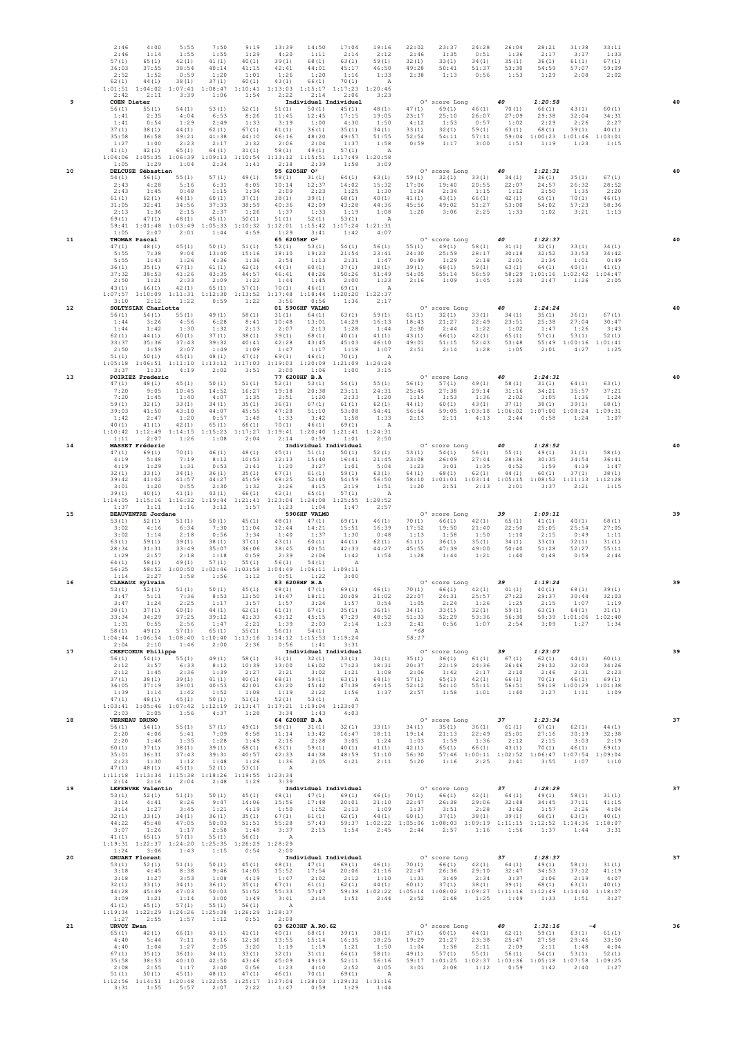|    | 2:46<br>2:46<br>57(1)<br>36:03<br>2:52<br>62(1)<br>1:01:51                     | 4:00<br>1:14<br>65(1)<br>37:55<br>1:52<br>44 (1)                                               | 5:55<br>1:55<br>42(1)<br>38:54<br>0:59<br>38(1)<br>1:04:02 1:07:41                                                                                                                | 7:50<br>1:55<br>41 (1)<br>40:14<br>1:20<br>37(1)<br>1:08:47                   | 9:19<br>1:29<br>40(1)<br>41:15<br>1:01<br>60(1)<br>1:10:41                    | 13:39<br>4:20<br>39(1)<br>42:41<br>1:26<br>43 (1)<br>1:13:03                 | 14:50<br>1:11<br>68 (1)<br>44:01<br>1:20<br>66(1)<br>1:15:17                                     | 17:04<br>2:14<br>63(1)<br>45:17<br>1:16<br>70(1)<br>1:17:23                                                                         | 19:16<br>2:12<br>59(1)<br>46:50<br>1:33<br>A<br>1:20:46                   | 22:02<br>2:46<br>32(1)<br>49:28<br>2:38                    | 23:37<br>1:35<br>33(1)<br>50:41<br>1:13                                    | 24:28<br>0:51<br>34(1)<br>51:37<br>0:56          | 26:04<br>1:36<br>35(1)<br>53:30<br>1:53                                                             | 28:21<br>2:17<br>36(1)<br>54:59<br>1:29                                                                                                                                                                                                                                                        | 31:38<br>3:17<br>61(1)<br>57:07<br>2:08                           | 33:11<br>1:33<br>67(1)<br>59:09<br>2:02            |    |
|----|--------------------------------------------------------------------------------|------------------------------------------------------------------------------------------------|-----------------------------------------------------------------------------------------------------------------------------------------------------------------------------------|-------------------------------------------------------------------------------|-------------------------------------------------------------------------------|------------------------------------------------------------------------------|--------------------------------------------------------------------------------------------------|-------------------------------------------------------------------------------------------------------------------------------------|---------------------------------------------------------------------------|------------------------------------------------------------|----------------------------------------------------------------------------|--------------------------------------------------|-----------------------------------------------------------------------------------------------------|------------------------------------------------------------------------------------------------------------------------------------------------------------------------------------------------------------------------------------------------------------------------------------------------|-------------------------------------------------------------------|----------------------------------------------------|----|
| 9  | 2:42<br>56(1)<br>1:41<br>1:41<br>37(1)<br>35:58<br>1:27<br>41(1)               | 2:11<br>COEN Dieter<br>55(1)<br>2:35<br>0:54<br>38 (1)<br>36:58<br>1:00<br>42(1)               | 3:39<br>54(1)<br>4:04<br>1:29<br>44 (1)<br>39:21<br>2:23<br>65(1)                                                                                                                 | 1:06<br>53(1)<br>6:53<br>2:49<br>62(1)<br>41:38<br>2:17<br>64 (1)             | 1:54<br>52(1)<br>8:26<br>1:33<br>67(1)<br>44:10<br>2:32<br>31(1)              | 2:22<br>51(1)<br>11:45<br>3:19<br>61(1)<br>46:16<br>2:06<br>58(1)            | 2:14<br>50(1)<br>12:45<br>1:00<br>36(1)<br>48:20<br>2:04<br>49(1)                                | 2:06<br>Individuel Individuel<br>45(1)<br>17:15<br>4:30<br>35(1)<br>49:57<br>1:37<br>57(1)                                          | 3:23<br>48 (1)<br>19:05<br>1:50<br>34(1)<br>51:55<br>1:58<br>$\mathbf{A}$ | 47 (1)<br>23:17<br>4:12<br>33(1)<br>52:54<br>0:59          | 0' score Long<br>69(1)<br>25:10<br>1:53<br>32(1)<br>54:11<br>1:17          | 46(1)<br>26:07<br>0:57<br>59(1)<br>57:11<br>3:00 | 40<br>70(1)<br>27:09<br>1:02<br>63(1)<br>59:04<br>1:53                                              | 1:20:58<br>66(1)<br>29:38<br>2:29<br>68 (1)<br>1:00:23<br>1:19                                                                                                                                                                                                                                 | 43(1)<br>32:04<br>2:26<br>39(1)<br>1:01:46<br>1:23                | 60(1)<br>34:31<br>2:27<br>40(1)<br>1:03:01<br>1:15 |    |
| 10 | 1:04:06<br>1:05<br>54(1)<br>2:43<br>2:43<br>61(1)<br>31:05<br>2:13             | 1:05:35<br>1:29<br><b>DELCUSE Sébastien</b><br>56(1)<br>4:28<br>1:45<br>62(1)<br>32:41<br>1:36 | 1:06:39<br>1:04<br>55(1)<br>5:16<br>0:48<br>44 (1)<br>34:56<br>2:15                                                                                                               | 1:09:13<br>2:34<br>57(1)<br>6:31<br>1:15<br>60(1)<br>37:33<br>2:37            | 1:10:54<br>1:41<br>49 (1)<br>8:05<br>1:34<br>37(1)<br>38:59<br>1:26           | 1:13:12<br>2:18<br>58(1)<br>10:14<br>2:09<br>38 (1)<br>40:36<br>1:37         | 1:15:51<br>2:39<br>95 6205HF 02<br>31(1)<br>12:37<br>2:23<br>39(1)<br>42:09<br>1:33              | 1:17:49<br>1:58<br>64 (1)<br>14:02<br>1:25<br>68 (1)<br>43:28<br>1:19                                                               | 1:20:58<br>3:09<br>63(1)<br>15:32<br>1:30<br>40(1)<br>44:36<br>1:08       | 59(1)<br>17:06<br>1:34<br>41 (1)<br>45:56<br>1:20          | 0' score Long<br>32(1)<br>19:40<br>2:34<br>43(1)<br>49:02<br>3:06          | 33(1)<br>20:55<br>1:15<br>66(1)<br>51:27<br>2:25 | 40<br>34 (1)<br>22:07<br>1:12<br>42(1)<br>53:00<br>1:33                                             | 1:21:31<br>36(1)<br>24:57<br>2:50<br>65(1)<br>54:02<br>1:02                                                                                                                                                                                                                                    | 35(1)<br>26:32<br>1:35<br>70(1)<br>57:23<br>3:21                  | 67(1)<br>28:52<br>2:20<br>46 (1)<br>58:36<br>1:13  | 40 |
| 11 | 69(1)<br>59:41<br>1:05<br>47(1)<br>5:55<br>5:55<br>36(1)<br>37:32              | 47(1)<br>1:01:48<br>2:07<br>THOMAS Pascal<br>48 (1)<br>7:38<br>1:43<br>35(1)<br>38:53          | 48(1)<br>1:03:49<br>2:01<br>45(1)<br>9:04<br>1:26<br>67(1)<br>41:26                                                                                                               | 45(1)<br>1:05:33<br>1:44<br>50(1)<br>13:40<br>4:36<br>61(1)<br>43:35          | 50(1)<br>1:10:32<br>4:59<br>51(1)<br>15:16<br>1:36<br>62(1)<br>44:57          | 51(1)<br>1:12:01<br>1:29<br>52(1)<br>18:10<br>2:54<br>44 (1)<br>46:41        | 52(1)<br>1:15:42<br>3:41<br>65 6205HF 02<br>53(1)<br>19:23<br>1:13<br>60(1)<br>48:26             | 53(1)<br>1:17:24<br>1:42<br>54(1)<br>21:54<br>2:31<br>37(1)<br>50:26                                                                | A<br>1:21:31<br>4:07<br>56(1)<br>23:41<br>1:47<br>38(1)<br>51:49          | 55(1)<br>24:30<br>0:49<br>39(1)<br>54:05                   | 0' score Long<br>49(1)<br>25:59<br>1:29<br>68 (1)<br>55:14                 | 58(1)<br>28:17<br>2:18<br>59(1)<br>56:59         | 40<br>31(1)<br>30:18<br>2:01<br>63(1)<br>58:29                                                      | 1:22:37<br>32(1)<br>32:52<br>2:34<br>64(1)<br>1:01:16                                                                                                                                                                                                                                          | 33(1)<br>33:53<br>1:01<br>40(1)<br>1:02:42                        | 34 (1)<br>34:42<br>0:49<br>41(1)<br>1:04:47        |    |
| 12 | 2:50<br>43(1)<br>1:07:57<br>3:10<br>56(1)<br>1:44<br>1:44<br>62(1)             | 1:21<br>66(1)<br>1:10:09<br>2:12<br>SOLTYSIAK Charlotte<br>54(1)<br>3:26<br>1:42<br>44 (1)     | 2:33<br>42(1)<br>1:11:31<br>1:22<br>55(1)<br>4:56<br>1:30<br>60(1)                                                                                                                | 2:09<br>65(1)<br>1:12:30<br>0:59<br>49(1)<br>6:28<br>1:32<br>37(1)            | 1:22<br>57(1)<br>1:13:52<br>1:22<br>58(1)<br>8:41<br>2:13<br>38(1)            | 1:44<br>70(1)<br>1:17:48<br>3:56<br>31(1)<br>10:48<br>2:07<br>39(1)          | 1:45<br>46(1)<br>1:18:44<br>0:56<br>01 5906HF VALMO<br>64 (1)<br>13:01<br>2:13<br>68 (1)         | 2:00<br>69(1)<br>1:20:20<br>1:36<br>63(1)<br>14:29<br>1:28<br>40(1)                                                                 | 1:23<br>A<br>1:22:37<br>2:17<br>59(1)<br>16:13<br>1:44<br>41(1)           | 2:16<br>61(1)<br>18:43<br>2:30<br>43(1)                    | 1:09<br>0' score Long<br>32(1)<br>21:27<br>2:44<br>66(1)                   | 1:45<br>33(1)<br>22:49<br>1:22<br>42(1)          | 1:30<br>40<br>34(1)<br>23:51<br>1:02<br>65(1)                                                       | 2:47<br>1:24:24<br>35(1)<br>25:38<br>1:47<br>57(1)                                                                                                                                                                                                                                             | 1:26<br>36(1)<br>27:04<br>1:26<br>53(1)                           | 2:05<br>67(1)<br>30:47<br>3:43<br>52(1)<br>1:01:41 | 40 |
| 13 | 33:37<br>2:50<br>51(1)<br>1:05:18<br>3:37<br>47(1)<br>7:20<br>7:20<br>59(1)    | 35:36<br>1:59<br>50(1)<br>1:33<br>POIRIEZ Frederic<br>48 (1)<br>9:05<br>1:45<br>32(1)          | 37:43<br>2:07<br>45(1)<br>$1:06:51$ $1:11:10$<br>4:19<br>45(1)<br>10:45<br>1:40<br>33(1)                                                                                          | 39:32<br>1:49<br>48 (1)<br>1:13:12<br>2:02<br>50(1)<br>14:52<br>4:07<br>34(1) | 40:41<br>1:09<br>47 (1)<br>1:17:03<br>3:51<br>51(1)<br>16:27<br>1:35<br>35(1) | 42:28<br>1:47<br>69(1)<br>1:19:03<br>2:00<br>52(1)<br>19:18<br>2:51<br>36(1) | 43:45<br>1:17<br>46(1)<br>1:20:09<br>1:06<br>77 6208HF B.A<br>53(1)<br>20:38<br>1:20<br>67 (1)   | 45:03<br>1:18<br>70(1)<br>1:21:09<br>1:00<br>54(1)<br>23:11<br>2:33<br>61(1)                                                        | 46:10<br>1:07<br>A<br>1:24:24<br>3:15<br>55(1)<br>24:31<br>1:20<br>62(1)  | 49:01<br>2:51<br>56(1)<br>25:45<br>1:14<br>44 (1)          | 51:15<br>2:14<br>0' score Long<br>57(1)<br>27:38<br>1:53<br>60(1)          | 52:43<br>1:28<br>49(1)<br>29:14<br>1:36<br>43(1) | 53:48<br>1:05<br>40<br>58(1)<br>31:16<br>2:02<br>37(1)                                              | 55:49<br>2:01<br>1:24:31<br>31(1)<br>34:21<br>3:05<br>38(1)                                                                                                                                                                                                                                    | 1:00:16<br>4:27<br>64 (1)<br>35:57<br>1:36<br>39(1)               | 1:25<br>63(1)<br>37:21<br>1:24<br>68 (1)           | 40 |
| 14 | 39:03<br>1:42<br>40(1)<br>1:10:42<br>1:11<br>47 (1)<br>4:19<br>4:19            | 41:50<br>2:47<br>41 (1)<br>1:12:49<br>2:07<br>MASSET Fréderic<br>69(1)<br>5:48<br>1:29         | 43:10<br>1:20<br>42(1)<br>1:14:15<br>1:26<br>70(1)<br>7:19<br>1:31                                                                                                                | 44:07<br>0:57<br>65(1)<br>1:15:23<br>1:08<br>46(1)<br>8:12<br>0:53            | 45:55<br>1:48<br>66(1)<br>1:17:27<br>2:04<br>48 (1)<br>10:53<br>2:41          | 47:28<br>1:33<br>70(1)<br>1:19:41<br>2:14<br>45 (1)<br>12:13<br>1:20         | 51:10<br>3:42<br>46(1)<br>1:20:40<br>0:59<br>51(1)<br>15:40<br>3:27                              | 53:08<br>1:58<br>69(1)<br>1:21:41<br>1:01<br>Individuel Individuel<br>50(1)<br>16:41<br>1:01                                        | 54:41<br>1:33<br>A<br>1:24:31<br>2:50<br>52(1)<br>21:45<br>5:04           | 56:54<br>2:13<br>53(1)<br>23:08<br>1:23                    | 59:05<br>2:11<br>0' score Long<br>54(1)<br>26:09<br>3:01                   | 1:03:18<br>4:13<br>56(1)<br>27:44<br>1:35        | 1:06:02<br>2:44<br>40<br>55(1)<br>28:36<br>0:52                                                     | 1:07:00<br>0:58<br>1:28:52<br>49(1)<br>30:35<br>1:59                                                                                                                                                                                                                                           | 1:08:24<br>1:24<br>31(1)<br>34:54<br>4:19                         | 1:09:31<br>1:07<br>58(1)<br>36:41<br>1:47          |    |
| 15 | 32(1)<br>39:42<br>3:01<br>39(1)<br>1:14:05<br>1:37<br>53(1)<br>3:02            | 33(1)<br>41:02<br>1:20<br>40(1)<br>1:11<br><b>BEAUVENTRE Jordane</b><br>52(1)<br>4:16          | 34(1)<br>41:57<br>0:55<br>41 (1)<br>1:15:16 1:16:32<br>1:16<br>51(1)<br>6:34                                                                                                      | 36(1)<br>44:27<br>2:30<br>43(1)<br>1:19:44<br>3:12<br>50(1)<br>7:30           | 35(1)<br>45:59<br>1:32<br>66 (1)<br>1:21:41<br>1:57<br>45(1)<br>11:04         | 67(1)<br>48:25<br>2:26<br>42 (1)<br>1:23:04<br>1:23<br>48 (1)<br>12:44       | 61(1)<br>52:40<br>4:15<br>65(1)<br>1:24:08<br>1:04<br>5906HF VALMO<br>47(1)<br>14:21             | 59(1)<br>54:59<br>2:19<br>57(1)<br>1:25:55<br>1:47<br>69(1)<br>15:51                                                                | 63(1)<br>56:50<br>1:51<br>A<br>1:28:52<br>2:57<br>46(1)<br>16:39          | 64 (1)<br>1:20<br>70(1)<br>17:52                           | 68 (1)<br>58:10 1:01:01 1:03:14<br>2:51<br>0' score Long<br>66(1)<br>19:50 | 62(1)<br>2:13<br>42(1)<br>21:40                  | 44 (1)<br>1:05:15<br>2:01<br>39<br>65(1)<br>22:50                                                   | 60(1)<br>1:08:52<br>3:37<br>1:09:11<br>41(1)<br>25:05                                                                                                                                                                                                                                          | 37(1)<br>1:11:13<br>2:21<br>40(1)<br>25:54                        | 38 (1)<br>1:12:28<br>1:15<br>68 (1)<br>27:05       | 39 |
| 16 | 3:02<br>63(1)<br>28:34<br>1:29<br>64 (1)<br>56:25<br>1:14<br>53(1)             | 1:14<br>59(1)<br>31:31<br>2:57<br>58 (1)<br>2:27<br>CLABAUX Sylvain<br>52 (1)                  | 2:18<br>39(1)<br>33:49<br>2:18<br>49(1)<br>58:52 1:00:50<br>1:58<br>51(1)                                                                                                         | 0:56<br>38(1)<br>35:07<br>1:18<br>57(1)<br>1:02:46<br>1:56<br>50(1)           | 3:34<br>37(1)<br>36:06<br>0:59<br>55(1)<br>1:03:58<br>1:12<br>45(1)           | 1:40<br>43 (1)<br>38:45<br>2:39<br>56(1)<br>1:04:49<br>0:51<br>48 (1)        | 1:37<br>60(1)<br>40:51<br>2:06<br>54(1)<br>$1:06:11$ $1:09:11$<br>1:22<br>83 6208HF B.A<br>47(1) | 1:30<br>44 (1)<br>42:33<br>1:42<br>A<br>3:00<br>69(1)                                                                               | 0:48<br>62(1)<br>44:27<br>1:54<br>46(1)                                   | 1:13<br>61(1)<br>45:55<br>1:28                             | 1:58<br>36(1)<br>47:39<br>1:44<br>O' score Long<br>$70(1)$ $66(1)$ $42(1)$ | 1:50<br>35(1)<br>49:00<br>1:21                   | 1:10<br>34(1)<br>50:40<br>1:40<br>39<br>41(1)                                                       | 2:15<br>33(1)<br>51:28<br>0:48<br>1:19:24<br>40(1)                                                                                                                                                                                                                                             | 0:49<br>32(1)<br>52:27<br>0:59<br>68 (1)                          | 1:11<br>31 (1)<br>55:11<br>2:44<br>39(1)           | 39 |
| 17 | 3:47<br>3:47<br>38(1)<br>33:34<br>1:31<br>58(1)<br>2:04                        | 5:11<br>1:24<br>37(1)<br>34:29<br>0:55<br>49(1)<br>2:10<br>CREFCOEUR Philippe                  | 7:36<br>2:25<br>60(1)<br>37:25<br>2:56<br>57(1)<br>1:04:44 1:06:54 1:08:40 1:10:40 1:13:16 1:14:12 1:15:53 1:19:24<br>1:46                                                        | 8:53<br>1:17<br>44 (1)<br>39:12<br>1:47<br>65(1)<br>2:00                      | 12:50<br>3:57<br>62(1)<br>41:33<br>2:21<br>55(1)<br>2:36                      | 14:47<br>1:57<br>61(1)<br>43:12<br>1:39<br>56(1)<br>0:56                     | 18:11<br>3:24<br>67(1)<br>2:03<br>54(1)<br>1:41                                                  | 20:08<br>1:57<br>35(1)<br>45:15 47:29<br>2:14<br>A<br>3:31<br>Individuel Individuel                                                 | 21:02<br>0:54<br>36(1)<br>48:52<br>1:23                                   | 22:07<br>1:05<br>34 (1)<br>51:33<br>2:41<br>$*68$<br>58:17 | 24:31<br>2:24<br>33(1)<br>52:29<br>0:56<br>O' score Long                   | 25:57<br>1:26<br>32(1)<br>53:36<br>1:07          | 27:22<br>1:25<br>59(1)<br>56:30<br>2:54<br>39                                                       | 29:37<br>2:15<br>63(1)<br>3:09<br>1:23:07                                                                                                                                                                                                                                                      | 30:44<br>1:07<br>64 (1)<br>59:39 1:01:06 1:02:40<br>1:27          | 32:03<br>1:19<br>31(1)<br>1:34                     | 39 |
|    | 56(1)<br>2:12<br>2:12<br>37(1)<br>36:05<br>1:39<br>47(1)<br>2:03               | 54 (1)<br>3:57<br>1:45<br>38(1)<br>37:19<br>1:14<br>48(1)<br>2:05                              | 55(1)<br>6:33<br>2:36<br>39(1)<br>39:01<br>1:42<br>45(1)<br>$1:03:41 \quad 1:05:46 \quad 1:07:42 \quad 1:12:19 \quad 1:13:47 \quad 1:17:21 \quad 1:19:04 \quad 1:23:07$<br>1:56   | 49 (1)<br>8:12<br>1:39<br>41(1)<br>40:53<br>1:52<br>50(1)<br>4:37             | 58(1)<br>10:39<br>2:27<br>40(1)<br>42:01<br>1:08<br>51(1)<br>1:28             | 31(1)<br>13:00<br>2:21<br>68(1)<br>43:20<br>1:19<br>52(1)<br>3:34            | 32 (1)<br>16:02<br>3:02<br>59(1)<br>45:42<br>2:22<br>53(1)<br>1:43                               | 17:23<br>1:21<br>63(1)<br>47:38<br>1:56<br>A<br>4:03                                                                                | $33(1)$ $34(1)$<br>18:31<br>1:08<br>64 (1)<br>49:15<br>1:37               | 20:37<br>2:06<br>57(1)<br>52:12<br>2:57                    | 1:42<br>65(1)<br>54:10<br>1:58                                             | 2:17<br>42(1)<br>55:11<br>1:01                   | 2:10<br>66(1)<br>56:51<br>1:40                                                                      | $35(1)$ $36(1)$ $61(1)$ $67(1)$ $62(1)$<br>22:19 24:36 26:46 29:32<br>2:46<br>70(1)<br>2:27                                                                                                                                                                                                    | 44 (1)<br>32:03<br>2:31<br>46(1)<br>59:18 1:00:29 1:01:38<br>1:11 | 60(1)<br>34:26<br>2:23<br>69 (1)<br>1:09           |    |
| 18 | 56(1)<br>2:20<br>2:20<br>60 (1)<br>35:01<br>2:23<br>47(1)<br>2:14              | <b>VERNEAU BRUNO</b><br>54(1)<br>4:06<br>1:46<br>37(1)<br>36:31<br>1:30<br>48 (1)<br>2:16      | 55(1)<br>5:41<br>1:35<br>38(1)<br>37:43<br>1:12<br>45(1)<br>$1:11:18 \quad 1:13:34 \quad 1:15:38 \quad 1:18:26 \quad 1:19:55 \quad 1:23:34$<br>2:04                               | 57(1)<br>7:09<br>1:28<br>39(1)<br>39:31<br>1:48<br>52(1)<br>2:48              | 49(1)<br>8:58<br>1:49<br>68(1)<br>40:57<br>1:26<br>53(1)<br>1:29              | 58(1)<br>11:14<br>2:16<br>63(1)<br>42:33<br>1:36<br>A<br>3:39                | 64 6208HF B.A<br>31(1)<br>13:42<br>2:28<br>59(1)<br>44:38<br>2:05                                | 32(1)<br>16:47<br>3:05<br>40(1)<br>48:59<br>4:21                                                                                    | 33(1)<br>18:11<br>1:24<br>41 (1)<br>51:10<br>2:11                         | 1:03<br>42 (1)<br>56:30<br>5:20                            | 1:59<br>65 (1)<br>1:16                                                     | 1:36<br>66(1)<br>2:25                            | 2:12<br>43(1)<br>2:41                                                                               | 0' score Long 37 1:23:34<br>$\begin{array}{cccccc} 34 \, (1) & 35 \, (1) & 36 \, (1) & 61 \, (1) & 67 \, (1) & 62 \, (1) \\ 19 \, ; 14 & 21 \, ; 13 & 22 \, ; 49 & 25 \, ; 01 & 27 \, ; 16 & 30 \, ; 19 \end{array}$<br>2:15<br>70(1)<br>57:46 1:00:11 1:02:52 1:06:47 1:07:54 1:09:04<br>3:55 | 3:03<br>46(1)<br>1:07                                             | 44 (1)<br>32:38<br>2:19<br>69(1)<br>1:10           | 37 |
| 19 | 53(1)<br>3:14<br>3:14<br>32(1)<br>44:22<br>3:07<br>41 (1)                      | LEFEBVRE Valentin<br>4:41<br>1:27<br>33(1)<br>45:48<br>1:26<br>65 (1)                          | $52(1)$ $51(1)$ $50(1)$<br>8:26<br>3:45<br>34 (1)<br>47:05<br>1:17<br>57(1)<br>1:19:31 1:22:37 1:24:20 1:25:35 1:26:29 1:28:29                                                    | 9:47<br>1:21<br>36(1)<br>50:03<br>2:58<br>55(1)                               | 14:06<br>4:19<br>35(1)<br>51:51<br>1:48<br>56(1)                              | 15:56<br>1:50<br>67(1)<br>55:28<br>3:37<br>A                                 | 17:48<br>1:52<br>61 (1)<br>57:43<br>2:15                                                         | Individuel Individuel<br>20:01<br>2:13<br>62(1)<br>1:54                                                                             | 21:10<br>1:09<br>44 (1)<br>2:45                                           | 60 (1)<br>2:44                                             | 0' score Long 37<br>2:57                                                   | 1:16                                             | 22:47  26:38  29:06  32:48  34:45<br>$1:37$ $3:51$ $2:28$ $3:42$<br>$37(1)$ $38(1)$ $39(1)$<br>1:56 | 1:28:29<br>$45(1) \qquad 48(1) \qquad 47(1) \qquad 69(1) \qquad 46(1) \qquad 70(1) \qquad 66(1) \qquad 42(1) \qquad 64(1) \qquad 49(1) \qquad 58(1) \qquad 31(1)$<br>1:57<br>68(1)<br>59:37 1:02:22 1:05:06 1:08:03 1:09:19 1:11:15 1:12:52 1:14:36 1:18:07<br>1:37                            | 2:26<br>63(1)<br>1:44                                             | 37:11 41:15<br>4:04<br>40(1)<br>3:31               | 37 |
| 20 | 1:24<br>53(1)<br>3:18<br>3:18<br>32(1)<br>44:28<br>3:09<br>41(1)               | 3:06<br><b>GRUART Florent</b><br>52(1)<br>4:45<br>1:27<br>33(1)<br>45:49<br>1:21<br>65 (1)     | 1:43<br>51(1)<br>8:38<br>3:53<br>34(1)<br>47:03<br>1:14<br>57(1)<br>1:19:34 1:22:29 1:24:26 1:25:38 1:26:29 1:28:37                                                               | 1:15<br>50(1)<br>9:46<br>1:08<br>36(1)<br>50:03<br>3:00<br>55(1)              | 0:54<br>14:05<br>4:19<br>35(1)<br>51:52<br>1:49<br>56(1)                      | 2:00<br>15:52<br>1:47<br>67(1)<br>A                                          | 17:54<br>2:02<br>61(1)<br>$3:41$ $2:14$                                                          | Individuel Individuel<br>20:06<br>2:12<br>62(1)<br>1:51                                                                             | $45(1)$ $48(1)$ $47(1)$ $69(1)$ $46(1)$<br>21:16<br>1:10<br>44(1)<br>2:44 | 22:47<br>1:31<br>60(1)<br>2:52                             | 0' score Long<br>26:36<br>3:49<br>37(1)<br>2:48                            | 29:10<br>2:34<br>38 (1)<br>1:25                  | 37<br>$70(1)$ $66(1)$ $42(1)$ $64(1)$<br>32:47<br>3:37<br>39(1)<br>1:49                             | 1:28:37<br>49(1)<br>34:53<br>2:06<br>68(1)<br>55:33 57:47 59:38 1:02:22 1:05:14 1:08:02 1:09:27 1:11:16 1:12:49 1:14:40 1:18:07<br>1:33                                                                                                                                                        | 58(1)<br>37:12<br>2:19<br>63(1)<br>1:51                           | 31(1)<br>41:19<br>4:07<br>40(1)<br>3:27            | 37 |
| 21 | 1:27<br>URVOY Ewan<br>65(1)<br>4:40<br>4:40<br>67(1)<br>35:58<br>2:08<br>51(1) | 2:55<br>42(1)<br>5:44<br>1:04<br>35(1)<br>38:53<br>2:55<br>50(1)                               | 1:57<br>66(1)<br>7:11<br>1:27<br>36(1)<br>40:10<br>1:17<br>45(1)<br>1:12:56 1:14:51 1:20:48 1:22:55 1:25:17 1:27:04 1:28:03 1:29:32 1:31:16<br>$3:31$ $1:55$ $5:57$ $2:07$ $2:22$ | 1:12<br>43(1)<br>9:16<br>2:05<br>34(1)<br>42:50<br>2:40<br>48 (1)             | 0:51<br>41 (1)<br>12:36<br>3:20<br>33(1)<br>43:46<br>0:56<br>47(1)            | 2:08<br>13:55<br>1:19<br>32 (1)<br>45:09<br>1:23<br>46(1)                    | 03 6203HF A.RO. 62<br>1:19<br>31(1)<br>4:10<br>70(1)                                             | $40(1)$ $68(1)$ $39(1)$ $38(1)$<br>$15:14$ $16:35$<br>1:21<br>64 (1)<br>49:19 52:11<br>2:52<br>69(1)<br>$1:47$ $0:59$ $1:29$ $1:44$ | 18:25<br>1:50<br>58 (1)<br>56:16<br>4:05<br>A                             | 19:29<br>1:04<br>49(1)                                     | O' score Long<br>21:27<br>1:58<br>57(1)<br>$3:01$ $2:08$                   | 23:38<br>2:11<br>55 (1)<br>1:12                  | 40<br>25:47<br>2:09<br>56(1)<br>0:59                                                                | 1:31:16<br>$37(1)$ $60(1)$ $44(1)$ $62(1)$ $59(1)$<br>27:58<br>2:11<br>54(1)<br>59:17 1:01:25 1:02:37 1:03:36 1:05:18 1:07:58 1:09:25<br>1:42                                                                                                                                                  | $-4$<br>29:46<br>1:48<br>53(1)<br>2:40                            | $63(1)$ $61(1)$<br>33:50<br>4:04<br>52(1)<br>1:27  | 36 |